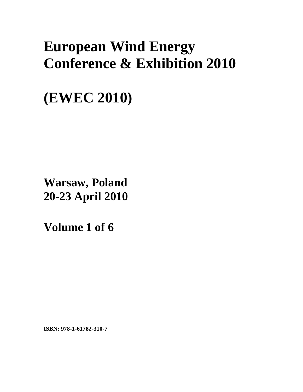# **European Wind Energy Conference & Exhibition 2010**

**(EWEC 2010)** 

**Warsaw, Poland 20-23 April 2010**

**Volume 1 of 6** 

**ISBN: 978-1-61782-310-7**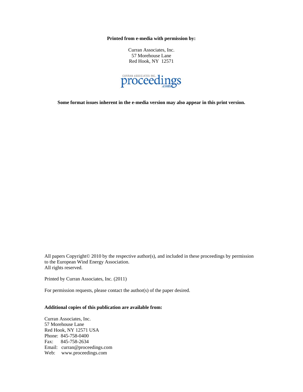**Printed from e-media with permission by:** 

Curran Associates, Inc. 57 Morehouse Lane Red Hook, NY 12571



**Some format issues inherent in the e-media version may also appear in this print version.** 

All papers Copyright© 2010 by the respective author(s), and included in these proceedings by permission to the European Wind Energy Association. All rights reserved.

Printed by Curran Associates, Inc. (2011)

For permission requests, please contact the author(s) of the paper desired.

# **Additional copies of this publication are available from:**

Curran Associates, Inc. 57 Morehouse Lane Red Hook, NY 12571 USA Phone: 845-758-0400 Fax: 845-758-2634 Email: curran@proceedings.com Web: www.proceedings.com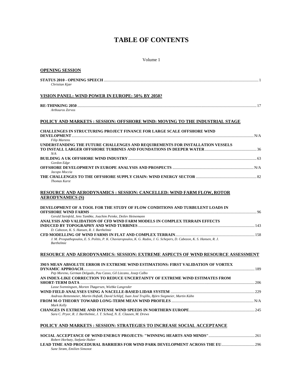# **TABLE OF CONTENTS**

# Volume 1

| <b>OPENING SESSION</b>                                                                                                                                                                                                         |  |
|--------------------------------------------------------------------------------------------------------------------------------------------------------------------------------------------------------------------------------|--|
| Christian Kjær                                                                                                                                                                                                                 |  |
| VISION PANEL: WIND POWER IN EUROPE: 50% BY 2050?                                                                                                                                                                               |  |
| <b>RE-THINKING 2050 </b><br>Arthouros Zervos                                                                                                                                                                                   |  |
| POLICY AND MARKETS : SESSION: OFFSHORE WIND: MOVING TO THE INDUSTRIAL STAGE                                                                                                                                                    |  |
| <b>CHALLENGES IN STRUCTURING PROJECT FINANCE FOR LARGE SCALE OFFSHORE WIND</b>                                                                                                                                                 |  |
| <b>Filip Martens</b><br>UNDERSTANDING THE FUTURE CHALLENGES AND REQUIREMENTS FOR INSTALLATION VESSELS                                                                                                                          |  |
| N/A<br>Gordon Edge                                                                                                                                                                                                             |  |
| Jacopo Moccia                                                                                                                                                                                                                  |  |
| <b>Thomas Karst</b>                                                                                                                                                                                                            |  |
| <b>RESOURCE AND AERODYNAMICS : SESSION: CANCELLED: WIND FARM FLOW, ROTOR</b><br><b>AERODYNAMICS (S)</b>                                                                                                                        |  |
| DEVELOPMENT OF A TOOL FOR THE STUDY OF FLOW CONDITIONS AND TURBULENT LOADS IN<br>Gerald Steinfeld, Jens Tambke, Joachim Peinke, Detlev Heinemann<br>ANALYSIS AND VALIDATION OF CFD WIND FARM MODELS IN COMPLEX TERRAIN EFFECTS |  |
| D. Cabezon, K. S. Hansen, R. J. Barthelmie                                                                                                                                                                                     |  |
| J. M. Prospathopoulos, E. S. Politis, P. K. Chaviaropoulos, K. G. Rados, J. G. Schepers, D. Cabezon, K. S. Hansen, R. J.<br><b>Barthelmie</b>                                                                                  |  |
| RESOURCE AND AERODYNAMICS: SESSION: EXTREME ASPECTS OF WIND RESOURCE ASSESSMENT                                                                                                                                                |  |
| 3M/S MEAN ABSOLUTE ERROR IN EXTREME WIND ESTIMATIONS: FIRST VALIDATION OF VORTEX                                                                                                                                               |  |
| Pep Moreno, German Delgado, Pau Casso, Gil Lizcano, Josep Calbo<br>AN INDEX-LIKE CORRECTION TO REDUCE UNCERTAINTY OF EXTREME WIND ESTIMATES FROM                                                                               |  |
| Lasse Svenningsen, Morten Thøgersen, Wiebke Langreder<br>Andreas Rettenmeier, Martin Hofsäß, David Schlipf, Juan José Trujillo, Björn Siegmeier, Martin Kühn                                                                   |  |
|                                                                                                                                                                                                                                |  |
| Mark Kelly<br>Sara C. Pryor, R. J. Barthelmie, J. T. Schoof, N. E. Clausen, M. Drews                                                                                                                                           |  |
| POLICY AND MARKETS : SESSION: STRATEGIES TO INCREASE SOCIAL ACCEPTANCE                                                                                                                                                         |  |
|                                                                                                                                                                                                                                |  |
| Robert Horbaty, Stefanie Huber                                                                                                                                                                                                 |  |

*Sune Strøm, Emilien Simonot*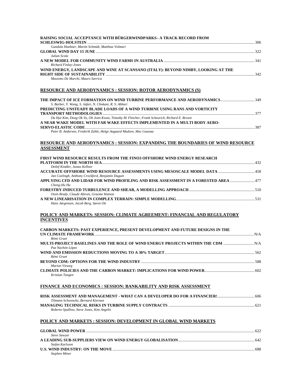| RAISING SOCIAL ACCEPTANCE WITH BÜRGERWINDPARKS- A TRACK RECORD FROM                                                                                                        |  |
|----------------------------------------------------------------------------------------------------------------------------------------------------------------------------|--|
| Gundula Huebner, Martin Schmidt, Matthias Volmari                                                                                                                          |  |
|                                                                                                                                                                            |  |
| Julian Scola<br>Richard Finlay-Jones                                                                                                                                       |  |
| WIND ENERGY, LANDSCAPE AND WINE AT SCANSANO (ITALY): BEYOND NIMBY, LOOKING AT THE                                                                                          |  |
| Massimo De Marchi, Mauro Sarrica                                                                                                                                           |  |
| <b>RESOURCE AND AERODYNAMICS : SESSION: ROTOR AERODYNAMICS (S)</b>                                                                                                         |  |
| THE IMPACT OF ICE FORMATION ON WIND TURBINE PERFORMANCE AND AERODYNAMICS349<br>S. Barber, Y. Wang, S. Jafari, N. Chokani, R. S. Abhari                                     |  |
| PREDICTING UNSTEADY BLADE LOADS OF A WIND TURBINE USING RANS AND VORTICITY<br>Da Hye Kim, Dong Ok Yu, Oh Joon Kwon, Timothy M. Fletcher, Frank Scheurich, Richard E. Brown |  |
| A NEAR WAKE MODEL WITH FAR WAKE EFFECTS IMPLEMENTED IN A MULTI BODY AERO-                                                                                                  |  |
| Peter B. Andersen, Frederik Zahle, Helge Aagaard Madsen, Mac Gaunaa                                                                                                        |  |
| <b>RESOURCE AND AERODYNAMICS : SESSION: EXPANDING THE BOUNDARIES OF WIND RESOURCE</b>                                                                                      |  |
| <b>ASSESSMENT</b>                                                                                                                                                          |  |
| FIRST WIND RESOURCE RESULTS FROM THE FINO3 OFFSHORE WIND ENERGY RESEARCH                                                                                                   |  |
| Detlef Kindler, Justus Kellner<br>Jan Coelingh, Anthony Crockford, Benjamin Duguet                                                                                         |  |
| APPLYING CFD AND LIDAR FOR WIND PROFILING AND RISK ASSESSMENT IN A FORESTED AREA  477<br>Cheng-Hu Hu                                                                       |  |
|                                                                                                                                                                            |  |
| Oisin Brady, Claude Abiven, Graeme Watson<br>Hans Jørgensen, Jacob Berg, Søren Ott                                                                                         |  |
| POLICY AND MARKETS: SESSION: CLIMATE AGREEMENT: FINANCIAL AND REGULATORY<br><b>INCENTIVES</b>                                                                              |  |
| CARBON MARKETS: PAST EXPERIENCE, PRESENT DEVELOPMENT AND FUTURE DESIGNS IN THE                                                                                             |  |
| Rémi Gruet<br>MULTI-PROJECT BASELINES AND THE ROLE OF WIND ENERGY PROJECTS WITHIN THE CDM                                                                                  |  |
| Paz Nachón López                                                                                                                                                           |  |
| Rémi Gruet                                                                                                                                                                 |  |
| <b>Marion Vieweg</b><br>Kristian Tangen                                                                                                                                    |  |
| FINANCE AND ECONOMICS : SESSION: BANKABILITY AND RISK ASSESSMENT                                                                                                           |  |
| Tilmann Schwencke, Bernard Kiernan                                                                                                                                         |  |
| Roberto Spallino, Steve Jones, Kim Angelis                                                                                                                                 |  |
| <u> POLICY AND MARKETS : SESSION: DEVELOPMENT IN GLOBAL WIND MARKETS</u>                                                                                                   |  |
| <b>Steve Sawyer</b>                                                                                                                                                        |  |
|                                                                                                                                                                            |  |

**A LEADING SUB-SUPPLIERS VIEW ON WIND ENERGY GLOBALISATION**..............................................................................642 *Stefan Karlsson*  **U.S. WIND INDUSTRY: ON THE MOVE** .................................................................................................................................................688 *Stephen Miner*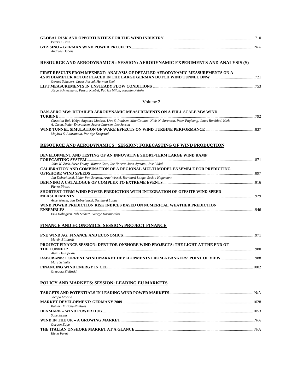| Peter C. Brun  |            |
|----------------|------------|
|                | $N/\Delta$ |
| Andreas Dubois |            |

# **RESOURCE AND AERODYNAMICS : SESSION: AERODYNAMIC EXPERIMENTS AND ANALYSIS (S)**

| FIRST RESULTS FROM MEXNEXT: ANALYSIS OF DETAILED AERODYNAMIC MEASUREMENTS ON A |      |
|--------------------------------------------------------------------------------|------|
|                                                                                |      |
| Gerard Schepers, Lucas Pascal, Herman Snel                                     |      |
|                                                                                | -753 |
| Jörge Schneemann, Pascal Knebel, Patrick Milan, Joachim Peinke                 |      |

Volume 2

| Christian Bak, Helge Aagaard Madsen, Uwe S. Paulsen, Mac Gaunaa, Niels N. Sørensen, Peter Fuglsang, Jonas Romblad, Niels<br>A. Olsen, Peder Enevoldsen, Jesper Laursen, Leo Jensen<br>Muyiwa S. Adaramola, Per-åge Krogstad<br>John W. Zack, Steve Young, Mattew Cote, Joe Nocera, Joan Aymami, Jose Vidal<br>897<br>Jan Dobschinski, Lüder Von Bremen, Arne Wessel, Bernhard Lange, Saskia Hagemann<br>Pierre Pinson<br>SHORTEST-TERM WIND POWER PREDICTION WITH INTEGRATION OF OFFSITE WIND SPEED<br>929<br>Arne Wessel, Jan Dobschinski, Bernhard Lange<br>WIND POWER PREDICTION RISK INDICES BASED ON NUMERICAL WEATHER PREDICTION<br>Erik Holmgren, Nils Siebert, George Kariniotakis | DAN-AERO MW: DETAILED AERODYNAMIC MEASUREMENTS ON A FULL SCALE MW WIND<br><b>TURBINE</b> | 792 |
|--------------------------------------------------------------------------------------------------------------------------------------------------------------------------------------------------------------------------------------------------------------------------------------------------------------------------------------------------------------------------------------------------------------------------------------------------------------------------------------------------------------------------------------------------------------------------------------------------------------------------------------------------------------------------------------------|------------------------------------------------------------------------------------------|-----|
|                                                                                                                                                                                                                                                                                                                                                                                                                                                                                                                                                                                                                                                                                            |                                                                                          |     |
|                                                                                                                                                                                                                                                                                                                                                                                                                                                                                                                                                                                                                                                                                            |                                                                                          |     |
|                                                                                                                                                                                                                                                                                                                                                                                                                                                                                                                                                                                                                                                                                            | <b>RESOURCE AND AERODYNAMICS : SESSION: FORECASTING OF WIND PRODUCTION</b>               |     |
|                                                                                                                                                                                                                                                                                                                                                                                                                                                                                                                                                                                                                                                                                            | DEVELOPMENT AND TESTING OF AN INNOVATIVE SHORT-TERM LARGE WIND RAMP                      |     |
|                                                                                                                                                                                                                                                                                                                                                                                                                                                                                                                                                                                                                                                                                            |                                                                                          |     |
|                                                                                                                                                                                                                                                                                                                                                                                                                                                                                                                                                                                                                                                                                            | <b>CALIBRATION AND COMBINATION OF A REGIONAL MULTI MODEL ENSEMBLE FOR PREDICTING</b>     |     |
|                                                                                                                                                                                                                                                                                                                                                                                                                                                                                                                                                                                                                                                                                            |                                                                                          |     |
|                                                                                                                                                                                                                                                                                                                                                                                                                                                                                                                                                                                                                                                                                            |                                                                                          |     |
|                                                                                                                                                                                                                                                                                                                                                                                                                                                                                                                                                                                                                                                                                            |                                                                                          |     |
|                                                                                                                                                                                                                                                                                                                                                                                                                                                                                                                                                                                                                                                                                            |                                                                                          |     |
|                                                                                                                                                                                                                                                                                                                                                                                                                                                                                                                                                                                                                                                                                            |                                                                                          |     |
|                                                                                                                                                                                                                                                                                                                                                                                                                                                                                                                                                                                                                                                                                            |                                                                                          |     |
|                                                                                                                                                                                                                                                                                                                                                                                                                                                                                                                                                                                                                                                                                            |                                                                                          |     |
|                                                                                                                                                                                                                                                                                                                                                                                                                                                                                                                                                                                                                                                                                            |                                                                                          |     |
|                                                                                                                                                                                                                                                                                                                                                                                                                                                                                                                                                                                                                                                                                            |                                                                                          |     |
|                                                                                                                                                                                                                                                                                                                                                                                                                                                                                                                                                                                                                                                                                            |                                                                                          |     |
|                                                                                                                                                                                                                                                                                                                                                                                                                                                                                                                                                                                                                                                                                            | <b>FINANCE AND ECONOMICS: SESSION: PROJECT FINANCE</b>                                   |     |

| Martin Billhardt                                                                 |       |
|----------------------------------------------------------------------------------|-------|
| PROJECT FINANCE SESSION: DEBT FOR ONSHORE WIND PROJECTS: THE LIGHT AT THE END OF |       |
|                                                                                  | -980  |
| Alain Delsupexhe                                                                 |       |
|                                                                                  |       |
| Marc Schmitz                                                                     |       |
|                                                                                  | -1002 |
| Grzegorz Zielinski                                                               |       |

#### **POLICY AND MARKETS: SESSION: LEADING EU MARKETS**

| Jacopo Moccia                  |  |
|--------------------------------|--|
|                                |  |
| <b>Rainer Hinrichs-Rahlwes</b> |  |
|                                |  |
| Sune Strøm                     |  |
|                                |  |
| Gordon Edge                    |  |
|                                |  |
| Elena Farnè                    |  |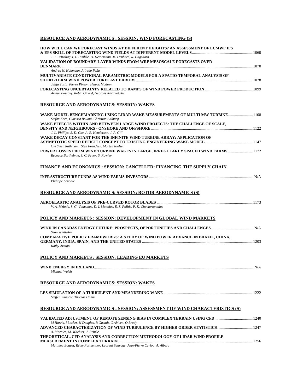# **RESOURCE AND AERODYNAMICS : SESSION: WIND FORECASTING (S)**

| HOW WELL CAN WE FORECAST WINDS AT DIFFERENT HEIGHTS? AN ASSESSMENT OF ECMWF IFS<br>T. I. Petroliagis, J. Tambke, D. Heinemann, M. Denhard, R. Hagedorn                                |  |
|---------------------------------------------------------------------------------------------------------------------------------------------------------------------------------------|--|
| VALIDATION OF BOUNDARY-LAYER WINDS FROM WRF MESOSCALE FORECASTS OVER                                                                                                                  |  |
| Andrea N. Hahmann, Alfredo Peña<br>MULTIVARIATE CONDITIONAL PARAMETRIC MODELS FOR A SPATIO-TEMPORAL ANALYSIS OF                                                                       |  |
| Julija Tastu, Pierre Pinson, Henrik Madsen<br>Arthur Bossavy, Robin Girard, Georges Kariniotakis                                                                                      |  |
| <b>RESOURCE AND AERODYNAMICS: SESSION: WAKES</b>                                                                                                                                      |  |
| WAKE MODEL BENCHMARKING USING LIDAR WAKE MEASUREMENTS OF MULTI MW TURBINE 1108<br>Stefan Kern, Clarissa Belloni, Christian Aalburg                                                    |  |
| WAKE EFFECTS WITHIN AND BETWEEN LARGE WIND PROJECTS: THE CHALLENGE OF SCALE,<br>J. L. Phillips, S. D. Cox, A. R. Henderson, J. P. Gill                                                |  |
| WAKE DECAY CONSTANT FOR THE INFINITE WIND TURBINE ARRAY: APPLICATION OF                                                                                                               |  |
| Ole Steen Rathmann, Sten Frandsen, Morten Nielsen<br>POWER LOSSES FROM WIND TURBINE WAKES IN LARGE, IRREGULARLY SPACED WIND FARMS  1172<br>Rebecca Barthelmie, S. C. Pryor, S. Rowley |  |
| FINANCE AND ECONOMICS : SESSION: CANCELLED: FINANCING THE SUPPLY CHAIN                                                                                                                |  |
| Philippe Lenoble                                                                                                                                                                      |  |
| <b>RESOURCE AND AERODYNAMICS: SESSION: ROTOR AERODYNAMICS (S)</b>                                                                                                                     |  |
| V. A. Riziotis, S. G. Voutsinas, D. I. Manolas, E. S. Politis, P. K. Chaviaropoulos                                                                                                   |  |
| <b>POLICY AND MARKETS : SESSION: DEVELOPMENT IN GLOBAL WIND MARKETS</b>                                                                                                               |  |
| Sean Whittaker                                                                                                                                                                        |  |
| COMPARATIVE POLICY FRAMEWORKS: A STUDY OF WIND POWER ADVANCE IN BRAZIL, CHINA,<br>Kathy Araujo                                                                                        |  |
| POLICY AND MARKETS : SESSION: LEADING EU MARKETS                                                                                                                                      |  |
| Michael Walsh                                                                                                                                                                         |  |
| <b>RESOURCE AND AERODYNAMICS: SESSION: WAKES</b>                                                                                                                                      |  |
| Steffen Wussow, Thomas Hahm                                                                                                                                                           |  |
| <b>RESOURCE AND AERODYNAMICS : SESSION: ASSESSMENT OF WIND CHARACTERISTICS (S)</b>                                                                                                    |  |
| 1240 VALIDATED ADJUSTMENT OF REMOTE SENSING BIAS IN COMPLEX TERRAIN USING CFD<br>M Harris, I Locker, N Douglas, R Girault, C Abiven, O Brady                                          |  |
| A. Morales, M. Wächter, J. Peinke                                                                                                                                                     |  |
| THEORETICAL, CFD ANALYSIS AND CORRECTION METHODOLOGY OF LIDAR WIND PROFILE<br>Matthieu Boquet, Rémy Parmentier, Laurent Sauvage, Jean-Pierre Cariou, A. Alberg                        |  |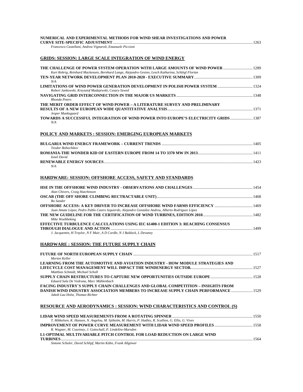| NUMERICAL AND EXPERIMENTAL METHODS FOR WIND SHEAR INVESTIGATIONS AND POWER                                                                                                                                        |  |
|-------------------------------------------------------------------------------------------------------------------------------------------------------------------------------------------------------------------|--|
| Francesco Castellani, Andrea Vignaroli, Emanuele Piccioni                                                                                                                                                         |  |
| <b>GRIDS: SESSION: LARGE SCALE INTEGRATION OF WIND ENERGY</b>                                                                                                                                                     |  |
| Kurt Rohrig, Reinhard Mackensen, Bernhard Lange, Alejandro Gesino, Lesch Katharina, Schlögl Florian                                                                                                               |  |
| N/A                                                                                                                                                                                                               |  |
| Robert Jankowski, Krzysztof Madajewski, Cezary Szwed                                                                                                                                                              |  |
| Rhonda Peters                                                                                                                                                                                                     |  |
| THE MERIT ORDER EFFECT OF WIND POWER - A LITERATURE SURVEY AND PRELIMINARY<br>Jesper Munksgaard                                                                                                                   |  |
| TOWARDS A SUCCESSFUL INTEGRATION OF WIND POWER INTO EUROPE'S ELECTRICITY GRIDS  1387<br>N/A                                                                                                                       |  |
| <b>POLICY AND MARKETS : SESSION: EMERGING EUROPEAN MARKETS</b>                                                                                                                                                    |  |
| Teodor Bobochikov                                                                                                                                                                                                 |  |
| <b>Ionel David</b>                                                                                                                                                                                                |  |
| N/A                                                                                                                                                                                                               |  |
| <b>HARDWARE: SESSION: OFFSHORE ACCESS, SAFETY AND STANDARDS</b>                                                                                                                                                   |  |
|                                                                                                                                                                                                                   |  |
| Alan Chivers, Craig Hutchinson                                                                                                                                                                                    |  |
| <b>Bo</b> Sander                                                                                                                                                                                                  |  |
| Juan Amate López, Pedro Pablo Castro Izquierdo, Alejandro González Andreu, Alberto Rodríguez López                                                                                                                |  |
| Mike Woebbeking                                                                                                                                                                                                   |  |
| EFFECTIVE TURBULENCE CALCULATIONS USING IEC 61400-1 EDITION 3: REACHING CONSENSUS                                                                                                                                 |  |
| J. Jacquemin, H Traylor, N F Muir, A D Cordle, N J Baldock, L Devaney                                                                                                                                             |  |
| <b>HARDWARE: SESSION: THE FUTURE SUPPLY CHAIN</b>                                                                                                                                                                 |  |
| Morten Keller                                                                                                                                                                                                     |  |
| LEARNING FROM THE AUTOMOTIVE AND AVIATION INDUSTRY - HOW MODULE STRATEGIES AND<br>Matthias Schmidt, Michael Scholl                                                                                                |  |
| Eduard Sala De Vedruna, Marc Mühlenbach                                                                                                                                                                           |  |
| <b>FACING INDUSTRY'S SUPPLY CHAIN CHALLENGES AND GLOBAL COMPETITION - INSIGHTS FROM</b><br>DANISH WIND INDUSTRY ASSOCIATION MEMBERS TO INCREASE SUPPLY CHAIN PERFORMANCE  1529<br>Jakob Lau Holst, Thomas Richter |  |
| <b>RESOURCE AND AERODYNAMICS : SESSION: WIND CHARACTERISTICS AND CONTROL (S)</b>                                                                                                                                  |  |
|                                                                                                                                                                                                                   |  |
| T. Mikkelsen, K. Hansen, N. Angelou, M. Sjöholm, M. Harris, P. Hadley, R. Scullion, G. Ellis, G. Vives                                                                                                            |  |

*R. Wagner, M. Courtney, J. Gottschall, P. Lindelöw-Marsden*  **L1-OPTIMAL MULTIVARIABLE PITCH CONTROL FOR LOAD REDUCTION ON LARGE WIND TURBINES**....................................................................................................................................................................................................1564 *Simone Schuler, David Schlipf, Martin Kühn, Frank Allgöwer*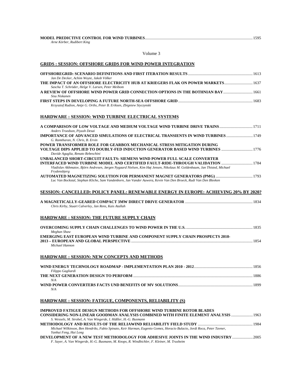#### **MODEL PREDICTIVE CONTROL FOR WIND TURBINES**..............................................................................................................1595

*Arne Körber, Rudibert King* 

Volume 3

#### **GRIDS : SESSION: OFFSHORE GRIDS FOR WIND POWER INTEGRATION**

| Jan De Decker, Achim Woyte, Jakob Völker                                                                                                                                                                                                                                                               |  |
|--------------------------------------------------------------------------------------------------------------------------------------------------------------------------------------------------------------------------------------------------------------------------------------------------------|--|
| THE IMPACT OF AN OFFSHORE ELECTRICITY HUB AT KRIEGERS FLAK ON POWER MARKETS 1637<br>Sascha T. Schröder, Helge V. Larsen, Peter Meibom                                                                                                                                                                  |  |
| 1661 A REVIEW OF OFFSHORE WIND POWER GRID CONNECTION OPTIONS IN THE BOTHNIAN BAY<br>Sisu Niskanen                                                                                                                                                                                                      |  |
| 1683 [1683] FIRST STEPS IN DEVELOPING A FUTURE NORTH-SEA OFFSHORE GRID …………………………………………………………………………<br>Krzysztof Rudion, Antje G. Orths, Peter B. Eriksen, Zbigniew Styczynski                                                                                                                         |  |
| HARDWARE : SESSION: WIND TURBINE ELECTRICAL SYSTEMS                                                                                                                                                                                                                                                    |  |
| Anders Troedson, Piyush Desai                                                                                                                                                                                                                                                                          |  |
| IMPORTANCE OF ADVANCED SIMULATIONS OF ELECTRICAL TRANSIENTS IN WIND TURBINES  1749<br>G. Ramtharan, N. Chris, B. Ervin                                                                                                                                                                                 |  |
| POWER TRANSFORMER ROLE FOR GEARBOX MECHANICAL STRESS MITIGATION DURING<br>VOLTAGE DIPS APPLIED TO DOUBLY-FED INDUCTION GENERATOR BASED WIND TURBINES<br>Davide Aguglia, Renato Rebeschini                                                                                                              |  |
| UNBALANCED SHORT-CIRCUIT FAULTS: SIEMENS WIND POWER FULL SCALE CONVERTER<br>INTERFACED WIND TURBINE MODEL AND CERTIFIED FAULT-RIDE-THROUGH VALIDATION 1784<br>Vladislav Akhmatov, Björn Andresen, Jørgen Nygaard Nielsen, Kim Høj Jensen, Nikolaus M. Goldenbaum, Jan Thisted, Michael<br>Frydensbjerg |  |
| Luc Van Bockstal, Stephan Kliche, Sam Vandenborn, Jan Vander Auwera, Kevin Van Den Broeck, Rudi Van Den Bleeken                                                                                                                                                                                        |  |
| SESSION: CANCELLED: POLICY PANEL: RENEWABLE ENERGY IN EUROPE: ACHIEVING 20% BY 2020?                                                                                                                                                                                                                   |  |
| Chris Kirby, Stuart Calverley, Jan Rens, Kais Atallah                                                                                                                                                                                                                                                  |  |
| HARDWARE : SESSION: THE FUTURE SUPPLY CHAIN                                                                                                                                                                                                                                                            |  |
| Meghan Shaw                                                                                                                                                                                                                                                                                            |  |
| EMERGING EAST EUROPEAN WIND TURBINE AND COMPONENT SUPPLY CHAIN PROSPECTS 2010-<br>Michael Hannon                                                                                                                                                                                                       |  |
| HARDWARE : SESSION: NEW CONCEPTS AND METHODS                                                                                                                                                                                                                                                           |  |
| Filippo Gagliardi                                                                                                                                                                                                                                                                                      |  |
| N/A                                                                                                                                                                                                                                                                                                    |  |
| N/A                                                                                                                                                                                                                                                                                                    |  |
| HARDWARE : SESSION: FATIGUE, COMPONENTS, RELIABILITY (S)                                                                                                                                                                                                                                               |  |
| <b>IMPROVED FATIGUE DESIGN METHODS FOR OFFSHORE WIND TURBINE ROTOR BLADES</b>                                                                                                                                                                                                                          |  |

| CONSIDERING NON-LINEAR GOODMAN ANALYSIS COMBINED WITH FINITE ELEMENT ANALYSIS  1963                                    |  |
|------------------------------------------------------------------------------------------------------------------------|--|
| S. Wessels, M. Strobel, A. Van Wingerde, I. Hüßler, H.-G. Busmann                                                      |  |
|                                                                                                                        |  |
| Michael Wilkinson, Ben Hendriks, Fabio Spinato, Keir Harman, Eugenio Gomez, Horacio Bulacio, Jordi Roca, Peter Tavner, |  |
| Yanhui Feng, Hui Long                                                                                                  |  |
| DEVELOPMENT OF A NEW TEST METHODOLOGY FOR ADHESIVE JOINTS IN THE WIND INDUSTRY  2005                                   |  |

*F. Sayer, A. Van Wingerde, H.-G. Busmann, M. Knops, R. Windbichler, F. Kleiner, M. Trusheim*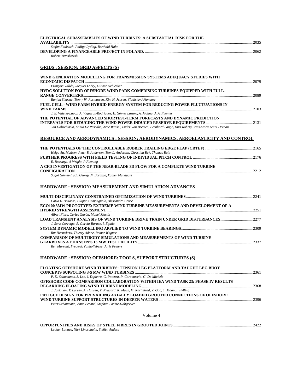| ELECTRICAL SUBASSEMBLIES OF WIND TURBINES: A SUBSTANTIAL RISK FOR THE                                                                                                                                                                                                                        |  |
|----------------------------------------------------------------------------------------------------------------------------------------------------------------------------------------------------------------------------------------------------------------------------------------------|--|
| Stefan Faulstich, Philipp Lyding, Berthold Hahn<br>Robert Trzaskowski                                                                                                                                                                                                                        |  |
| <b>GRIDS</b> : SESSION: GRID ASPECTS (S)                                                                                                                                                                                                                                                     |  |
| WIND GENERATION MODELLING FOR TRANSMISSION SYSTEMS ADEQUACY STUDIES WITH<br>François Vallée, Jacques Lobry, Olivier Deblecker                                                                                                                                                                |  |
| HVDC SOLUTION FOR OFFSHORE WIND PARK COMPRISING TURBINES EQUIPPED WITH FULL-                                                                                                                                                                                                                 |  |
| Ranjan Sharma, Tonny W. Rasmussen, Kim H. Jensen, Vladislav Akhmatov<br>FUEL CELL - WIND FARM HYBRID ENERGY SYSTEM FOR REDUCING POWER FLUCTUATIONS IN                                                                                                                                        |  |
| J. E. Villena-Lapaz, A. Vigueras-Rodríguez, E. Gómez Lázaro, A. Molina, J. A. Fuentes<br>THE POTENTIAL OF ADVANCED SHORTEST-TERM FORECASTS AND DYNAMIC PREDICTION<br>Jan Dobschinski, Ennio De Pascalis, Arne Wessel, Lüder Von Bremen, Bernhard Lange, Kurt Rohrig, Yves-Marie Saint Drenan |  |
| RESOURCE AND AERODYNAMICS : SESSION: AERODYNAMICS, AEROELASTICITY AND CONTROL                                                                                                                                                                                                                |  |
| Helge Aa. Madsen, Peter B. Andersen, Tom L. Andersen, Christian Bak, Thomas Buhl                                                                                                                                                                                                             |  |
| FURTHER PROGRESS WITH FIELD TESTING OF INDIVIDUAL PITCH CONTROL ……………………………………………………2176<br>E. Bossanyi, A Wright, P Fleming                                                                                                                                                                 |  |
| A CFD INVESTIGATION OF THE NEAR-BLADE 3D FLOW FOR A COMPLETE WIND TURBINE<br>Sugoi Gómez-Iradi, George N. Barakos, Xabier Munduate                                                                                                                                                           |  |
| <b>HARDWARE : SESSION: MEASUREMENT AND SIMULATION ADVANCES</b>                                                                                                                                                                                                                               |  |
| Carlo L. Bottasso, Filippo Campagnolo, Alessandro Croce                                                                                                                                                                                                                                      |  |
| ECO100 3MW PROTOTYPE: EXTREME WIND TURBINE MEASUREMENTS AND DEVELOPMENT OF A                                                                                                                                                                                                                 |  |
| Albert Fisas, Carles Gayán, Manel Martín<br>LOAD TRANSIENT ANALYSIS OF WIND TURBINE DRIVE TRAIN UNDER GRID DISTURBANCES2277                                                                                                                                                                  |  |
| J. Sanz-Corretge, A. García-Barace, I. Egaña<br>Rut Heemskerk, Thierry Adane, Reiner Wagner                                                                                                                                                                                                  |  |
| <b>COMPARISON OF MULTIBODY SIMULATIONS AND MEASUREMENTS OF WIND TURBINE</b><br>Ben Marrant, Frederik Vanhollebeke, Joris Peeters                                                                                                                                                             |  |
| HARDWARE: SESSION: OFFSHORE: TOOLS, SUPPORT STRUCTURES (S)                                                                                                                                                                                                                                   |  |
| <b>FLOATING OFFSHORE WIND TURBINES: TENSION LEG PLATFORM AND TAUGHT LEG BUOY</b>                                                                                                                                                                                                             |  |
| P. D. Sclavounos, S. Lee, J. Dipietro, G. Potenza, P. Caramuscio, G. De Michele<br>OFFSHORE CODE COMPARISON COLLABORATION WITHIN IEA WIND TASK 23: PHASE IV RESULTS                                                                                                                          |  |
| J. Jonkman, T. Larsen, A. Hansen, T. Nygaard, K. Maus, M. Karimirad, Z. Gao, T. Moan, I. Fylling<br><b>FATIGUE DESIGN FOR PREVAILING AXIALLY LOADED GROUTED CONNECTIONS OF OFFSHORE</b>                                                                                                      |  |
| Peter Schaumann, Anne Bechtel, Stephan Lochte-Holtgreven                                                                                                                                                                                                                                     |  |

#### Volume 4

| Ludger Lohaus, Nick Lindschulte, Steffen Anders |  |
|-------------------------------------------------|--|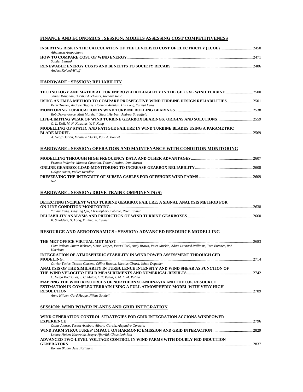# **FINANCE AND ECONOMICS : SESSION: MODELS ASSESSING COST COMPETITIVENESS**

| INSERTING RISK IN THE CALCULATION OF THE LEVELISED COST OF ELECTRICITY (LCOE) 2450                                                                                                                                         |  |
|----------------------------------------------------------------------------------------------------------------------------------------------------------------------------------------------------------------------------|--|
| Athanasia Arapogianni                                                                                                                                                                                                      |  |
| Sander Lensink<br>Anders Kofoed-Wiuff                                                                                                                                                                                      |  |
| <b>HARDWARE: SESSION: RELIABILITY</b>                                                                                                                                                                                      |  |
| TECHNOLOGY AND MATERIAL FOR IMPROVED RELIABILITY IN THE GE 2.5XL WIND TURBINE2500                                                                                                                                          |  |
| James Maughan, Burkhard Schwarz, Richard Reno<br>USING AN FMEA METHOD TO COMPARE PROSPECTIVE WIND TURBINE DESIGN RELIABILITIES2501                                                                                         |  |
| Peter Tavner, Andrew Higgins, Hooman Arabian, Hui Long, Yanhui Feng                                                                                                                                                        |  |
| Rob Dwyer-Joyce, Matt Marshall, Stuart Herbert, Andrew Streatfield<br>LIFE-LIMITING WEAR OF WIND TURBINE GEARBOX BEARINGS: ORIGINS AND SOLUTIONS 2559<br>G. L. Doll, M. N. Kotzalas, Y. S. Kang                            |  |
| MODELLING OF STATIC AND FATIGUE FAILURE IN WIND TURBINE BLADES USING A PARAMETRIC<br>A. Geoff Dutton, Matthew Clarke, Paul A. Bonnet                                                                                       |  |
| <b>HARDWARE: SESSION: OPERATION AND MAINTENANCE WITH CONDITION MONITORING</b>                                                                                                                                              |  |
| Francis Pelletier, Masson Christian, Tahan Antoine, Jette Martin                                                                                                                                                           |  |
| Holger Daum, Volker Kreidler                                                                                                                                                                                               |  |
| N/A                                                                                                                                                                                                                        |  |
| <b>HARDWARE: SESSION: DRIVE TRAIN COMPONENTS (S)</b>                                                                                                                                                                       |  |
| DETECTING INCIPIENT WIND TURBINE GEARBOX FAILURE: A SIGNAL ANALYSIS METHOD FOR                                                                                                                                             |  |
| Yanhui Feng, Yingning Qiu, Christopher Crabtree, Peter Tavner<br>K. Smolders, H. Long, Y. Feng, P. Tavner                                                                                                                  |  |
| <b>RESOURCE AND AERODYNAMICS : SESSION: ADVANCED RESOURCE MODELLING</b>                                                                                                                                                    |  |
| Clive Wilson, Stuart Webster, Simon Vosper, Peter Clark, Andy Brown, Peter Murkin, Adam Leonard-Williams, Tom Butcher, Rob<br>Harrison                                                                                     |  |
| INTEGRATION OF ATMOSPHERIC STABILITY IN WIND POWER ASSESSMENT THROUGH CFD                                                                                                                                                  |  |
| Olivier Texier, Tristan Clarenc, Céline Bezault, Nicolas Girard, Johan Degelder<br>ANALYSIS OF THE SIMILARITY IN TURBULENCE INTENSITY AND WIND SHEAR AS FUNCTION OF                                                        |  |
| C. Veiga Rodrigues, J. C. Matos, L. T. Paiva, J. M. L. M. Palma<br>MAPPING THE WIND RESOURCES OF NORTHERN SCANDINAVIA AND THE U.K. RESOURCE<br>ESTIMATION IN COMPLEX TERRAIN USING A FULL ATMOSPHERIC MODEL WITH VERY HIGH |  |
| Anna Hilden, Gard Hauge, Niklas Sondell                                                                                                                                                                                    |  |
| SESSION: WIND POWER PLANTS AND GRID INTEGRATION                                                                                                                                                                            |  |
| WIND GENERATION CONTROL STRATEGIES FOR GRID INTEGRATION ACCIONA WINDPOWER                                                                                                                                                  |  |
| Óscar Alonso, Teresa Arlaban, Alberto García, Alejandro Gonzalez<br>Lukasz Hubert Kocewiak, Jesper Hjerrild, Claus Leth Bak                                                                                                |  |
| ADVANCED TWO-LEVEL VOLTAGE CONTROL IN WIND FARMS WITH DOUBLY FED INDUCTION<br>Roman Bluhm, Jens Fortmann                                                                                                                   |  |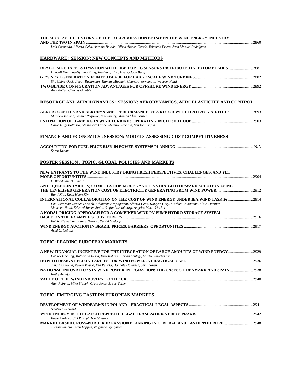| THE SUCCESSFUL HISTORY OF THE COLLABORATION BETWEEN THE WIND ENERGY INDUSTRY                                                                                                                  |  |
|-----------------------------------------------------------------------------------------------------------------------------------------------------------------------------------------------|--|
| Luis Coronado, Alberto Ceña, Antonio Balado, Olivia Alonso García, Eduardo Prieto, Juan Manuel Rodríguez                                                                                      |  |
| <b>HARDWARE: SESSION: NEW CONCEPTS AND METHODS</b>                                                                                                                                            |  |
| REAL-TIME SHAPE ESTIMATION WITH FIBER OPTIC SENSORS DISTRIBUTED IN ROTOR BLADES2881<br>Hong-Il Kim, Lae-Hyoung Kang, Jae-Hung Han, Hyung-Joon Bang                                            |  |
|                                                                                                                                                                                               |  |
| Shu Ching Quek, Peggy Baehmann, Thomas Miebach, Chandra Yerramalli, Waseem Faidi                                                                                                              |  |
| Alex Potier, Charles Gamble                                                                                                                                                                   |  |
| RESOURCE AND AERODYNAMICS : SESSION: AERODYNAMICS, AEROELASTICITY AND CONTROL                                                                                                                 |  |
| AEROACOUSTICS AND AERODYNAMIC PERFORMANCE OF A ROTOR WITH FLATBACK AIRFOILS  2893<br>Matthew Barone, Joshua Paquette, Eric Simley, Monica Christiansen                                        |  |
|                                                                                                                                                                                               |  |
| Carlo Luigi Bottasso, Alessandro Croce, Stefano Cacciola, Sandeep Gupta                                                                                                                       |  |
| FINANCE AND ECONOMICS : SESSION: MODELS ASSESSING COST COMPETITIVENESS                                                                                                                        |  |
| Soren Krohn                                                                                                                                                                                   |  |
| <b>POSTER SESSION : TOPIC: GLOBAL POLICIES AND MARKETS</b>                                                                                                                                    |  |
| NEW ENTRANTS TO THE WIND INDUSTRY BRING FRESH PERSPECTIVES, CHALLENGES, AND YET<br>B. Woodman, B. Lundie                                                                                      |  |
| AN FIT(FEED-IN TARIFFS) COMPUTATION MODEL AND ITS STRAIGHTFORWARD SOLUTION USING<br>Eunil Kim, Keon Hoon Kim                                                                                  |  |
| 1914 INTERNATIONAL COLLABORATION ON THE COST OF WIND ENERGY UNDER IEA WIND TASK                                                                                                               |  |
| Paul Schwabe, Sander Lensink, Athanasia Arapogianni, Alberto Ceña, Karlynn Cory, Markus Geissmann, Klaus Hammes,<br>Maureen Hand, Edward James-Smith, Stefan Luxembourg, Ángeles Mora Sánchez |  |
| A NODAL PRICING APPROACH FOR A COMBINED WIND PV PUMP HYDRO STORAGE SYSTEM                                                                                                                     |  |
| Patric Kleineidam, Burcu Özdirik, Daniel Gudopp                                                                                                                                               |  |
| Arnd C. Helmke                                                                                                                                                                                |  |
| <b>TOPIC: LEADING EUROPEAN MARKETS</b>                                                                                                                                                        |  |
| A NEW FINANCIAL INCENTIVE FOR THE INTEGRATION OF LARGE AMOUNTS OF WIND ENERGY<br>Patrick Hochloff, Katharina Lesch, Kurt Rohrig, Florian Schlögl, Markus Speckmann                            |  |
|                                                                                                                                                                                               |  |
| Juha Kiviluoma, Petteri Kuuva, Esa Peltola, Hannele Holttinen, Jari Ihonen<br>NATIONAL INNOVATIONS IN WIND POWER INTEGRATION: THE CASES OF DENMARK AND SPAIN 2938                             |  |
| Kathy Araujo                                                                                                                                                                                  |  |
| Alun Roberts, Mike Blanch, Chris Jones, Bruce Valpy                                                                                                                                           |  |
| TOPIC: EMERGING EASTERN EUROPEAN MARKETS                                                                                                                                                      |  |

|                                                                                         | 2941 |
|-----------------------------------------------------------------------------------------|------|
| Siegfried Seewald                                                                       |      |
|                                                                                         | 2942 |
| Pavla Cinková, Jirí Prikryl, Tomáš Starý                                                |      |
| <b>MARKET BASED CROSS-BORDER EXPANSION PLANNING IN CENTRAL AND EASTERN EUROPE </b> 2948 |      |
| Tomasz Smieja, Swen Löppen, Zbigniew Styczynski                                         |      |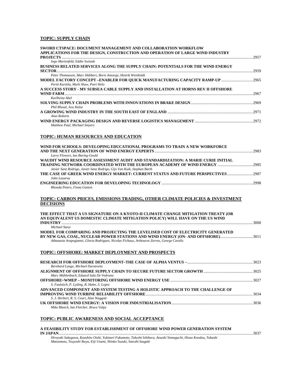# **TOPIC: SUPPLY CHAIN**

| SWORD CTSPACE: DOCUMENT MANAGEMENT AND COLLABORATION WORKFLOW<br>APPLICATIONS FOR THE DESIGN, CONSTRUCTION AND OPERATION OF LARGE WIND INDUSTRY                                    |  |
|------------------------------------------------------------------------------------------------------------------------------------------------------------------------------------|--|
| Ingo Marienfeld, Eddie Swistak                                                                                                                                                     |  |
| BUSINESS RELATED SERVICES ALONG THE SUPPLY CHAIN: POTENTIALS FOR THE WIND ENERGY                                                                                                   |  |
| Peter Thomassen, Marc Hübbers, Boris Ansorge, Henrik Wienholdt                                                                                                                     |  |
| MODEL FACTORY CONCEPT –ENABLER FOR QUICK MANUFACTURING CAPACITY RAMP-UP ………………………………2965<br>Pertti Kurttila, Mark Shaw, Petri Helo                                                 |  |
| A SUCCESS STORY - MV SUBSEA CABLE SUPPLY AND INSTALLATION AT HORNS REV II OFFSHORE                                                                                                 |  |
| Karlheinz Abel                                                                                                                                                                     |  |
| Phil Rhead, Jess Hulse                                                                                                                                                             |  |
| Alun Roberts                                                                                                                                                                       |  |
| Matthew Paul, Michael Smyers                                                                                                                                                       |  |
| TOPIC: HUMAN RESOURCES AND EDUCATION                                                                                                                                               |  |
| WIND FOR SCHOOLS: DEVELOPING EDUCATIONAL PROGRAMS TO TRAIN A NEW WORKFORCE<br>Larry Flowers, Ian Baring-Gould                                                                      |  |
| WAUDIT WIND RESOURCE ASSESSMENT AUDIT AND STANDARDIZATION: A MARIE CURIE INITIAL                                                                                                   |  |
| Javier Sanz Rodrigo, Javier Sanz Rodrigo, Gijs Van Kuik, Stephan Barth<br>John Lazarou                                                                                             |  |
| Rhonda Peters, Fiona Gaston                                                                                                                                                        |  |
| TOPIC: CARBON PRICES, EMISSIONS TRADING, OTHER CLIMATE POLICIES & INVESTMENT<br><b>DECISIONS</b>                                                                                   |  |
| THE EFFECT THAT A US SIGNATURE ON A KYOTO-II CLIMATE CHANGE MITIGATION TREATY (OR<br>AN EQUIVALENT US DOMESTIC CLIMATE MITIGATION POLICY) WILL HAVE ON THE US WIND                 |  |
|                                                                                                                                                                                    |  |
| Michael Stavy<br>MODEL FOR COMPARING AND PROJECTING THE LEVELISED COST OF ELECTRICITY GENERATED<br>BY NEW GAS, COAL, NUCLEAR POWER STATIONS AND WIND ENERGY (ON- AND OFFSHORE)3011 |  |
| Athanasia Arapogianni, Gloria Rodrigues, Nicolas Fichaux, Arthouros Zervos, George Caralis                                                                                         |  |
| TOPIC: OFFSHORE: MARKET DEPLOYMENT AND PROSPECTS                                                                                                                                   |  |
| Bernhard Lange, Michael Durstewitz                                                                                                                                                 |  |
| Marc Mühlenbach, Eduard Sala De Vedruna                                                                                                                                            |  |
| S. Faulstich, P. Lyding, B. Hahn, S. Lopez                                                                                                                                         |  |
| ADVANCED COMPONENT AND SYSTEM TESTING A HOLISTIC APPROACH TO THE CHALLENGE OF                                                                                                      |  |
| S. J. Herbert, R. S. Court, Alan Waggott                                                                                                                                           |  |
| Mike Blanch, Ian Fletcher, Bruce Valpy                                                                                                                                             |  |

# **TOPIC: PUBLIC AWARENESS AND SOCIAL ACCEPTANCE**

#### **A FEASIBILITY STUDY FOR ESTABLISHMENT OF OFFSHORE WIND POWER GENERATION SYSTEM IN JAPAN**......................................................................................................................................................................................................3037

*Hiroyuki Sukegawa, Kazuhito Oishi, Yukinari Fukumoto, Takeshi Ishihara, Atsushi Yamaguchi, Hisao Kondou, Takashi Matsumoto, Tsuyoshi Ikeya, Eiji Usami, Shinko Suzuki, Satoshi Inagaki*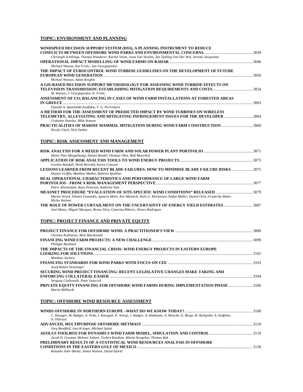# **TOPIC: ENVIRONMENT AND PLANNING**

| WINDSPEED DECISION SUPPORT SYSTEM (DSS), A PLANNING INSTRUMENT TO REDUCE                                                                                         |  |
|------------------------------------------------------------------------------------------------------------------------------------------------------------------|--|
|                                                                                                                                                                  |  |
| Christoph Schillings, Thomas Wanderer, Karina Veum, Joost Van Stralen, Jan Tjalling Van Der Wal, Jerome Jacquemin                                                |  |
| Michael Watson, Kai Frolic, Jan Georgopoulos                                                                                                                     |  |
| THE IMPACT OF EUROCONTROL WIND TURBINE GUIDELINES ON THE DEVELOPMENT OF FUTURE                                                                                   |  |
| Michael Watson, Adam Knights                                                                                                                                     |  |
| A GIS-BASED DECISION SUPPORT METHODOLOGY FOR ASSESSING WIND TURBINE EFFECTS ON                                                                                   |  |
| M. Watson, J. Georgopoulos, K. Frolic                                                                                                                            |  |
| ASSESSMENT OF CO2 BALANCING IN CASES OF WIND FARM INSTALLATIONS AT FORESTED AREAS                                                                                |  |
|                                                                                                                                                                  |  |
| Elpiniki A. Apostolaki-Iosifidou, Y. G. Perivolaris<br>A METHOD FOR THE ASSESSMENT OF PREDICTED IMPACT BY WIND TURBINES ON WIRELESS                              |  |
| TELEMETRY, ALLEVIATING AND MITIGATING INFRINGEMENT ISSUES FOR THE DEVELOPER 3064                                                                                 |  |
| Grahame Stuteley, Mike Watson                                                                                                                                    |  |
| PRACTICALITIES OF MARINE MAMMAL MITIGATION DURING WIND FARM CONSTRUCTION 3069<br>Nicola Clark, Nick Duthie                                                       |  |
| TOPIC: RISK ASSESSMENT AND MANAGEMENT                                                                                                                            |  |
|                                                                                                                                                                  |  |
| Heinz-Theo Mengelkamp, Daniel Bendel, Dietmar Obst, Ralf Meyerhof                                                                                                |  |
| Gordon Randall, Heidi Brovold, Karen Conover                                                                                                                     |  |
| <b>LESSONS LEARNED FROM RECENT BLADE FAILURES: HOW TO MINIMISE BLADE FAILURE RISKS 3075</b><br>Dayton Griffin, Matthew Malkin, Roberto Spallino                  |  |
| REAL OPERATIONAL CHARACTERISTICS AND PERFORMANCE OF LARGE WIND FARM                                                                                              |  |
| Patric Kleineidam, Raya Peterson, Kathrine Næs                                                                                                                   |  |
|                                                                                                                                                                  |  |
| Martin Strack, Dimitri Foussekis, Ignacio Marti, Kai Mönnich, Niels G. Mortensen, Stefan Müller, Daniel Ortiz, Frederike Reher,<br>Micha Wehner                  |  |
| 1987 - THE ROLE OF POWER CURTAILMENT ON THE UNCERTAINTY OF ENERGY YIELD ESTIMATES<br>José Matos, Miguel Marques, Bruno Silva, Catarina Ribeiro, Álvaro Rodrigues |  |
| TOPIC: PROJECT FINANCE AND PRIVATE EQUITY                                                                                                                        |  |
| Christos Kolliatsas, Mott Macdonald                                                                                                                              |  |
|                                                                                                                                                                  |  |
| Philippe Raybaud                                                                                                                                                 |  |
| THE IMPACTS OF THE FINANCIAL CRISIS: WIND ENERGY PROJECTS IN EASTERN EUROPE                                                                                      |  |
| Matthias Jachira                                                                                                                                                 |  |
| Josef Robert Straninger                                                                                                                                          |  |
| SECURING WIND PROJECT FINANCING: RECENT LEGISLATIVE CHANGES MAKE TAKING AND                                                                                      |  |
| Sergiusz Ciolkowski, Peter Swiecick                                                                                                                              |  |
| PRIVATE EQUITY FINANCING FOR OFFSHORE WIND FARMS DURING IMPLEMENTATION PHASE 3106<br>Martin Billhardt                                                            |  |
| <b>TOPIC: OFFSHORE WIND RESOURCE ASSESSMENT</b>                                                                                                                  |  |
|                                                                                                                                                                  |  |
| C. Hasager, M. Badger, A. Peña, I. Karagali, P. Astrup, J. Badger, A. Hahmann, A. Mouche, E. Berge, Ø. Byrkjedal, A. Stoffelen,                                  |  |

| C. Hasager, M. Badger, A. Peña, I. Karagali, P. Astrup, J. Badger, A. Hahmann, A. Mouche, E. Berge, Ø. Byrkjedal, A. Stoffelen, |      |
|---------------------------------------------------------------------------------------------------------------------------------|------|
| A. Oldroyd                                                                                                                      |      |
|                                                                                                                                 |      |
| Jörg Bendfeld, Jens Krieger, Michael Splett                                                                                     |      |
|                                                                                                                                 |      |
| Jacob D. Grunnet, Mohsen Soltani, Torben Knudsen, Martin Kragelun, Thomas Bak                                                   |      |
| PRELIMINARY RESULTS OF A STATISTICAL WIND RESOURCES ANALYSIS IN OFFSHORE                                                        |      |
|                                                                                                                                 | 3130 |
| Rolando Soler-Bientz, Simon Watson, David Infield                                                                               |      |
|                                                                                                                                 |      |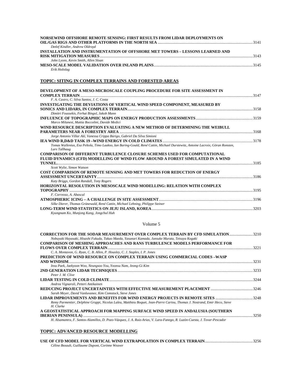| NORSEWIND OFFSHORE REMOTE SENSING: FIRST RESULTS FROM LIDAR DEPLOYMENTS ON    |      |
|-------------------------------------------------------------------------------|------|
|                                                                               | 3141 |
| Detlef Kindler, Andrew Oldroyd                                                |      |
| INSTALLATION AND INSTRUMENTATION OF OFFSHORE MET TOWERS - LESSONS LEARNED AND |      |
|                                                                               | 3143 |
| John Lyons, Kevin Smith, Allen Sloan                                          |      |
|                                                                               | 3145 |
| Erik Holtslag                                                                 |      |

# **TOPIC: SITING IN COMPLEX TERRAINS AND FORESTED AREAS**

| DEVELOPMENT OF A MESO-MICROSCALE COUPLING PROCEDURE FOR SITE ASSESSMENT IN<br><b>COMPLEX TERRAIN</b> 2147                     |      |
|-------------------------------------------------------------------------------------------------------------------------------|------|
| F. A. Castro, C. Silva Santos, J. C. Costa                                                                                    |      |
| <b>INVESTIGATING THE DEVIATIONS OF VERTICAL WIND SPEED COMPONENT, MEASURED BY</b>                                             |      |
|                                                                                                                               |      |
| Dimitri Foussekis, Ferhat Bingol, Jakob Mann                                                                                  |      |
|                                                                                                                               |      |
| Marco Milanesi, Mattia Boccolini, Davide Medici                                                                               |      |
| WIND RESOURCE DESCRIPTION EVALUATING A NEW METHOD OF DETERMINING THE WEIBULL                                                  |      |
|                                                                                                                               |      |
| Jorge Antonio Villar Alé, Vanessa Crippa Búrigo, Gabriel Da Silva Simioni                                                     |      |
|                                                                                                                               |      |
| Tomas Wallenius, Esa Peltola, Timo Laakso, Ian Baring-Gould, René Cattin, Michael Durstewitz, Antoine Lacroix, Göran Ronsten, |      |
| Lars Tallhaug                                                                                                                 |      |
| <b>COMPARISON OF DIFFERENT TURBULENCE CLOSURE SCHEMES USED FOR COMPUTATIONAL</b>                                              |      |
| FLUID DYNAMICS (CFD) MODELLING OF WIND FLOW AROUND A FOREST SIMULATED IN A WIND                                               |      |
| 3185                                                                                                                          |      |
| Scott Wylie, Simon Watson                                                                                                     |      |
| COST COMPARISON OF REMOTE SENSING AND MET TOWERS FOR REDUCTION OF ENERGY                                                      |      |
|                                                                                                                               |      |
| Katy Briggs, Gordon Randall, Tony Rogers                                                                                      |      |
| HORIZONTAL RESOLUTION IN MESOSCALE WIND MODELLING: RELATION WITH COMPLEX                                                      |      |
|                                                                                                                               | 3195 |
| F. Correoso, A. Abascal                                                                                                       |      |
|                                                                                                                               |      |
| Silke Dierer, Thomas Grünewald, René Cattin, Michael Lehning, Philippe Steiner                                                |      |
|                                                                                                                               |      |

*Kyungnam Ko, Munjong Kang, Jongchul Huh* 

#### Volume 5

| CORRECTION FOR THE SODAR MEASUREMENT OVER COMPLEX TERRAIN BY CFD SIMULATION3210                                            |      |
|----------------------------------------------------------------------------------------------------------------------------|------|
| Nobuyuki Hayasaki, Hisashi Fukuda, Takao Maeda, Yasunari Kamada, Junsuke Murata, Tetsuya Kogaki                            |      |
| <b>COMPARISON OF MESHING APPROACHES AND RANS TURBULENCE MODELS PERFORMANCE FOR</b>                                         |      |
|                                                                                                                            | 3221 |
| C. A. Montavon, G. Ryan, C. B. Allen, P. Housley, C. J. Staples, I. P. Jones                                               |      |
| PREDICTION OF WIND RESOURCE ON COMPLEX TERRAIN USING COMMERCIAL CODES –WASP                                                |      |
|                                                                                                                            | 3231 |
| Insu Paek, Jaekyoon Woo, Neungsoo You, Yoonsu Nam, Jeong-Gi Kim                                                            |      |
|                                                                                                                            | 3233 |
| Peter J M Clive                                                                                                            |      |
|                                                                                                                            | 3244 |
| Andrea Vignaroli, Petteri Antikainen                                                                                       |      |
|                                                                                                                            |      |
| Sarah Meyer, David Vanluvanee, Kim Comstock, Steve Jones                                                                   |      |
|                                                                                                                            |      |
| Remy Parmentier, Delphine Gruppi, Nicolas Laleu, Matthieu Boquet, Jean-Pierre Cariou, Thomas J. Nostrand, Emir Heco, Steve |      |
| H. Clarke                                                                                                                  |      |
| A GEOSTATISTICAL APPROACH FOR MAPPING SURFACE WIND SPEED IN ANDALUSIA (SOUTHERN                                            |      |
|                                                                                                                            | 3250 |
| H. Alsamamra, F. Santos-Alamillos, D. Pozo-Vázquez, J. A. Ruiz-Arias, V. Lara-Fanego, R. Luzón-Cuesta, J. Tovar-Pescador   |      |
|                                                                                                                            |      |

# **TOPIC: ADVANCED RESOURCE MODELLING**

| Céline Bezault, Guillaume Dupont, Corinne Weaver |  |
|--------------------------------------------------|--|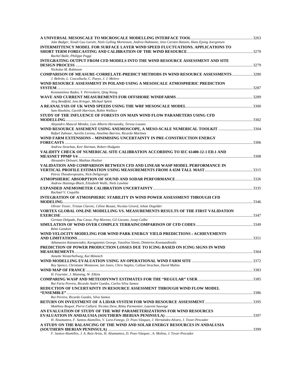| Jake Badger, Xioali Guo Larsén, Niels Gylling Mortensen, Andrea Hahmann, Jens Carsten Hansen, Hans Ejsing Joergensen                                      |  |
|-----------------------------------------------------------------------------------------------------------------------------------------------------------|--|
| INTERMITTENCY MODEL FOR SURFACE LAYER WIND SPEED FLUCTUATIONS. APPLICATIONS TO                                                                            |  |
| Rachel Baile, Philippe Poggi                                                                                                                              |  |
| INTEGRATING OUTPUT FROM CFD MODELS INTO THE WIND RESOURCE ASSESSMENT AND SITE                                                                             |  |
| Nicholas M. Robinson                                                                                                                                      |  |
| J. Beltrán, L. Cosculluela, C. Pueyo, J. J. Melero                                                                                                        |  |
| WIND RESOURCE ASSESSMENT IN POLAND USING A MESOSCALE ATMOSPHERIC PREDICTION                                                                               |  |
| Konstantinos Rados, Y. Perivolaris, Qing Wang                                                                                                             |  |
| Jörg Bendfeld, Jens Krieger, Michael Splett                                                                                                               |  |
| Sam Hawkins, Gareth Harrison, Robin Wallace                                                                                                               |  |
| STUDY OF THE INFLUENCE OF FORESTS ON MAIN WIND FLOW PARAMETERS USING CFD                                                                                  |  |
| Alejandro Abascal Méndez, Luis Alberto Hernandez, Teresa Lozano<br>WIND RESOURCE ASSEMENT USING ANEMOSCOPE, A MESO-SCALE NUMERICAL TOOLKIT 304            |  |
| Rafael Zubiaur, Aurelio Lerena, Anselmo Barrios, Ricardo Martinez<br>WIND FARM EXTENSIONS – MINIMISING UNCERTAINTY IN PRE-CONSTRUCTION ENERGY             |  |
| Andrew Strachan, Keir Harman, Robert Hodgetts                                                                                                             |  |
| VALIDITY CHECK OF NUMERICAL SITE CALIBRATION ACCORDING TO IEC 61400-12-1 ED.1 AND<br>3308                                                                 |  |
| Alexandre Delwart, Mathias Hoelzer                                                                                                                        |  |
| VALIDATION AND COMPARISON BETWEEN CFD AND LINEAR WASP MODEL PERFORMANCE IN<br>Petros Theodoropoulos, Nick Deligiorgis                                     |  |
| Andrew Hastings-Black, Elizabeth Walls, Niels Lawhite                                                                                                     |  |
| Rachael V. Coquilla                                                                                                                                       |  |
| INTEGRATION OF ATMOSPHERIC STABILITY IN WIND POWER ASSESSMENT THROUGH CFD                                                                                 |  |
| Olivier Texier, Tristan Clarenc, Céline Bezaut, Nicolas Girard, Johan Degelder                                                                            |  |
| VORTEX GLOBAL ONLINE MODELLING VS. MEASUREMENTS RESULTS OF THE FIRST VALIDATION                                                                           |  |
| German Delgado, Pau Casso, Pep Moreno, Gil Lizcano, Josep Calbo                                                                                           |  |
| Rémi Gandoin                                                                                                                                              |  |
| WIND VELOCITY MODELING FOR WIND PARK ENERGY YIELD PREDICTIONS : ACHIEVEMENTS                                                                              |  |
| Athanasios Katsanevakis, Karagiannis George, Vassilios Sinnis, Dimitrios Konstandinidis                                                                   |  |
| PREDICTION OF POWER PRODUCTION LOSSES DUE TO ICING BASED ON ICING SIGNS IN WIND                                                                           |  |
| Annette Westerhellweg, Kai Mönnich                                                                                                                        |  |
| Roy Spence, Christiane Montavon, Ian Jones, Chris Staples, Callum Strachan, David Malins                                                                  |  |
| H. Fournier, J. Manning, W. Elkins                                                                                                                        |  |
| Rui Faria Pereira, Ricardo André Guedes, Carlos Silva Santos                                                                                              |  |
| REDUCTION OF UNCERTAINTY IN RESOURCE ASSESSMENT THROUGH WIND FLOW MODEL                                                                                   |  |
| Rui Pereira, Ricardo Guedes, Silva Santos                                                                                                                 |  |
| Matthieu Boquet, Pierre Callard, Nicolas Deve, Rémy Parmentier, Laurent Sauvage<br>AN EVALUATION OF STUDY OF THE WRF PARAMETERIZATIONS FOR WIND RESOURCES |  |
| H. Alsamamra, F. Santos-Alamillos, V. Lara-Fanego, D. Pozo-Vázquez, J. Hernández-Alvaro, J. Tovar-Pescador                                                |  |
| A STUDY ON THE BALANCING OF THE WIND AND SOLAR ENERGY RESOURCES IN ANDALUSIA                                                                              |  |
|                                                                                                                                                           |  |

*F. Santos-Alamillos, J. A. Ruiz-Arias, H. Alsamamra, D. Pozo-Vázquez , A. Molina, J. Tovar-Pescador*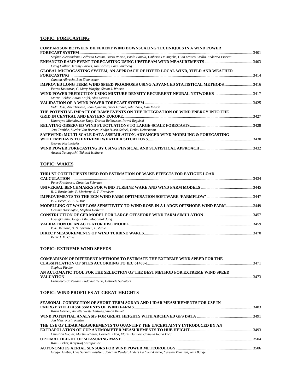# **TOPIC: FORECASTING**

| <b>COMPARISON BETWEEN DIFFERENT WIND DOWNSCALING TECHNIQUES IN A WIND POWER</b>                                                |       |
|--------------------------------------------------------------------------------------------------------------------------------|-------|
| <b>FORECAST SYSTEM</b>                                                                                                         | .3401 |
| Stefano Alessandrini, Goffredo Decimi, Dario Ronzio, Paolo Bonelli, Umberto De Angelis, Gian Matteo Cirillo, Federico Fioretti |       |
|                                                                                                                                |       |
| Craig Collier, Jeremy Parkes, Jon Collins, Lars Landberg                                                                       |       |
| <b>GLOBAL MICROCASTING SYSTEM, AN APPROACH OF HYPER LOCAL WIND, YIELD AND WEATHER</b>                                          |       |
|                                                                                                                                | 3414  |
| Carsten Albrecht, Ben Zimmerman                                                                                                |       |
| <b>IMPROVED LONG TERM WIND SPEED PROGNOSIS USING ADVANCED STATISTICAL METHODS 3416</b>                                         |       |
| Petros Kritharas, C. Mary Murphy, Simon J. Watson                                                                              |       |
|                                                                                                                                |       |
| Martin Felder, Anton Kaifel, Alex Graves                                                                                       |       |
|                                                                                                                                |       |
| Vidal José, Abel Tortosa, Joan Aymamí, Oriol Lacave, John Zack, Dan Meade                                                      |       |
| THE POTENTIAL IMPACT OF RAMP EVENTS ON THE INTEGRATION OF WIND ENERGY INTO THE                                                 |       |
|                                                                                                                                | 3427  |
| Katarzyna Michalowska-Knap, Dorota Belkowska, Pawel Regulski                                                                   |       |
|                                                                                                                                |       |
| Jens Tambke, Lueder Von Bremen, Nadja Busch-Saleck, Detlev Heinemann                                                           |       |
| SAFEWIND: MULTI-SCALE DATA ASSIMILATION, ADVANCED WIND MODELING & FORECASTING                                                  |       |
|                                                                                                                                | .3430 |
| George Kariniotakis                                                                                                            |       |
|                                                                                                                                |       |
| Atsushi Yamaguchi, Takeshi Ishihara                                                                                            |       |

# **TOPIC: WAKES**

| <b>THRUST COEFFICIENTS USED FOR ESTIMATION OF WAKE EFFECTS FOR FATIGUE LOAD</b>    |      |
|------------------------------------------------------------------------------------|------|
|                                                                                    | 3434 |
| Peter Frohboese, Christian Schmuck                                                 |      |
|                                                                                    |      |
| R. J. Barthelmie, P. Moriarty, S. T. Frandsen                                      |      |
|                                                                                    |      |
| P. J. Eecen. E. T. G. Bot                                                          |      |
| MODELLING OF WAKE LOSS SENSITIVITY TO WIND ROSE IN A LARGE OFFSHORE WIND FARM 3449 |      |
| Gemma Harrington, Stephen Holleran                                                 |      |
|                                                                                    |      |
| Hyungki Shin, Jongsu Lilm, Moonseok Jang                                           |      |
|                                                                                    | 3459 |
| P.-E. Réthoré, N. N. Sørensen, F. Zahle                                            |      |
|                                                                                    |      |
| Peter J. M. Clive                                                                  |      |

#### **TOPIC: EXTREME WIND SPEEDS**

| <b>COMPARISON OF DIFFERENT METHODS TO ESTIMATE THE EXTREME WIND SPEED FOR THE</b> |      |
|-----------------------------------------------------------------------------------|------|
|                                                                                   | 3471 |
| Stephan Fiedler                                                                   |      |
| AN AUTOMATIC TOOL FOR THE SELECTION OF THE BEST METHOD FOR EXTREME WIND SPEED     |      |
| <b>VALUATION</b>                                                                  | 3473 |
| Francesco Castellani, Ludovico Terzi, Gabriele Salvatori                          |      |
|                                                                                   |      |

# **TOPIC: WIND PROFILES AT GREAT HEIGHTS**

| SEASONAL CORRECTION OF SHORT-TERM SODAR AND LIDAR MEASUREMENTS FOR USE IN                             |      |
|-------------------------------------------------------------------------------------------------------|------|
|                                                                                                       |      |
| Karin Görner, Annette Westerhellweg, Simon Brillet                                                    |      |
|                                                                                                       |      |
| Jon Meis, Karin Kuntze                                                                                |      |
| THE USE OF LIDAR MEASUREMENTS TO QUANTIFY THE UNCERTAINTY INTRODUCED BY AN                            |      |
|                                                                                                       |      |
| Christian Vogler, Martin Scherer, Corneliu Dica, Florin Danilov, Camelia Ioana Dica                   |      |
|                                                                                                       | 3504 |
| Kamil Beker, Krzysztof Szczepaniec                                                                    |      |
|                                                                                                       |      |
| Gregor Giebel, Uwe Schmidt Paulsen, Joachim Reuder, Anders La Cour-Harbo, Carsten Thomsen, Jens Bange |      |
|                                                                                                       |      |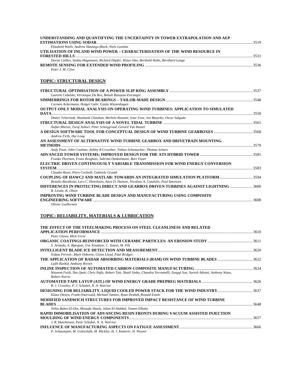| UNDERSTANDING AND QUANTIFYING THE UNCERTAINTY IN TOWER EXTRAPOLATION AND AEP                         |      |
|------------------------------------------------------------------------------------------------------|------|
| Elizabeth Walls, Andrew Hastings-Black, Niels Lawhite                                                |      |
| UTILISATION OF INLAND WIND POWER – CHARACTERISATION OF THE WIND RESOURCE IN                          |      |
|                                                                                                      |      |
| Doron Callies, Saskia Hagemann, Richard Döpfer, Klaus Otto, Berthold Hahn, Bernhard Lange            |      |
|                                                                                                      |      |
| Peter J. M. Clive                                                                                    |      |
| <b>TOPIC: STRUCTURAL DESIGN</b>                                                                      |      |
|                                                                                                      |      |
| Laurent Cebulski, Véronique Da Ros, Benoît Basuyau-Estrangin                                         |      |
|                                                                                                      |      |
| Carmen Ackermann, Holger Guhr, Guido Wüstenhagen                                                     |      |
| OUTPUT-ONLY MODAL ANALYSIS ON OPERATING WIND TURBINES: APPLICATION TO SIMULATED                      |      |
| DATA<br>Dmitri Tcherniak, Shashank Chauhan, Michele Rossetti, Iciar Font, Jon Basurko, Oscar Salgado |      |
|                                                                                                      |      |
| Stefan Mieras, Turaj Ashuri, Peter Scheijgrond, Gerard Van Bussel                                    |      |
|                                                                                                      |      |
| Andrew Firth, Hui Long                                                                               |      |
| AN ASSESSMENT OF ALTERNATIVE WIND TURBINE GEARBOX AND DRIVETRAIN MOUNTING                            |      |
|                                                                                                      |      |
| Andy Poon, John Coultate, Ashley R Crowther, Tobias Schumacher, Thomas Schare                        |      |
|                                                                                                      |      |
| Franke Thorsten, Frans Brughuis, Sabrina Dankelmann, Bart Visser                                     |      |
| ELECTRIC DRIVEN CONTINUOUSLY VARIABLE TRANSMISSION FOR WIND ENERGY CONVERSION                        |      |
| Claudio Rossi, Piero Corbelli, Gabriele Grandi                                                       |      |
| COUPLING OF HAWC2 AND MATLAB: TOWARDS AN INTEGRATED SIMULATION PLATFORM3594                          |      |
| Braulio Barahona, Lars C. Henriksen, Anca D. Hansen, Nicolaos A. Cutululis, Poul Sørensen            |      |
| DIFFERENCES IN PROTECTING DIRECT AND GEARBOX DRIVEN TURBINES AGAINST LIGHTNING 3600                  |      |
| B. Lewke, K. Olsen                                                                                   |      |
| IMPROVING WIND TURBINE BLADE DESIGN AND MANUFACTURING USING COMPOSITE                                |      |
|                                                                                                      | 3608 |
| Olivier Guillermin                                                                                   |      |

# **TOPIC: RELIABILITY, MATERIALS & LUBRICATION**

| THE EFFECT OF THE STEELMAKING PROCESS ON STEEL CLEANLINESS AND RELATED                                                       |  |
|------------------------------------------------------------------------------------------------------------------------------|--|
|                                                                                                                              |  |
| Peter Glaws, Mick Grew                                                                                                       |  |
|                                                                                                                              |  |
| S. Armada, A. Bjørgum, O.ø. Knudsen, C. Simon, M. Pilz                                                                       |  |
|                                                                                                                              |  |
| Srdjan Perovic, Mark Osborne, Glynn Lloyd, Paul Bridges                                                                      |  |
| THE APPLICATION OF RADAR ABSORBING MATERIALS (RAM) ON WIND TURBINE BLADES 3622                                               |  |
| Laith Rashid, Anthony Brown                                                                                                  |  |
|                                                                                                                              |  |
| Waseem Faidi, Shu Ouek, Chris Nafis, Robert Tait, Shatil Sinha, Chandra Yerramalli, Zongqi Sun, Suresh Advani, Anthony Waas, |  |
| <b>Robert Norris</b>                                                                                                         |  |
|                                                                                                                              |  |
| R. J. Crossley, P. J. Schubel, N. A. Warrior                                                                                 |  |
| DESIGNING FOR RELIABILITY, LIQUID COOLED POWER STACK FOR THE WIND INDUSTRY 3637                                              |  |
| Klaus Olesen, Frank Osterwald, Michael Tønnes, Ryan Drabek, Ronald Eisele                                                    |  |
| MODIFIED SANDWICH STRUCTURES FOR IMPROVED IMPACT RESISTANCE OF WIND TURBINE                                                  |  |
|                                                                                                                              |  |
| Yehia Bahei-El-Din, Mostafa Shazly, Islam El-Habbal, Yamen Elbahy                                                            |  |
| RAPID IMMOBILISATION OF ADVANCING RESIN FRONTS DURING VACUUM ASSISTED INJECTION                                              |  |
|                                                                                                                              |  |
| J. R. Hutchinson, Peter Schubel, N. A. Warrior                                                                               |  |
|                                                                                                                              |  |
| P. Schaumann, M. Gottschalk, M. Mickley, H. J. Kutterer, H. Neuner                                                           |  |
|                                                                                                                              |  |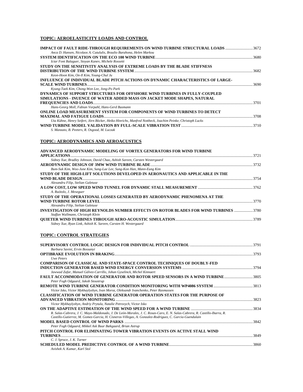# **TOPIC: AEROELASTICITY LOADS AND CONTROL**

| Anca D. Hansen, Nicolaos A. Cutululis, Braulio Barahona, Helen Markou                                    |      |
|----------------------------------------------------------------------------------------------------------|------|
|                                                                                                          |      |
| Iciar Font Balaguer, Stovan Kanev, Michele Rossetti                                                      |      |
| STUDY ON THE SENSITIVITY ANALYSIS OF EXTREME LOADS BY THE BLADE STIFFNESS                                |      |
|                                                                                                          |      |
| Keon-Hoon Kim, On-Il Kim, Young-Chul Ju                                                                  |      |
| INFLUENCE OF INDIVIDUAL BLADE PITCH ACTIONS ON DYNAMIC CHARACTERISTICS OF LARGE-                         |      |
|                                                                                                          |      |
| Kyung-Taek Kim, Chong-Won Lee, Jong-Po Park                                                              |      |
| DYNAMICS OF SUPPORT STRUCTURES FOR OFFSHORE WIND TURBINES IN FULLY-COUPLED                               |      |
| SIMULATIONS - INUENCE OF WATER ADDED MASS ON JACKET MODE SHAPES, NATURAL                                 |      |
|                                                                                                          | 3701 |
| Hans-Georg Moll, Fabian Vorpahl, Hans-Gerd Busmann                                                       |      |
| ONLINE LOAD MEASUREMENT SYSTEM FOR COMPONENTS OF WIND TURBINES TO DETECT                                 |      |
|                                                                                                          | 3708 |
| Uta Kühne, Henry Seifert, Jörn Böcker, Heiko Hinrichs, Manfred Nottbeck, Joachim Peinke, Christoph Lucks |      |
|                                                                                                          |      |
| S. Manzato, B. Peeters, R. Osgood, M. Luczak                                                             |      |
|                                                                                                          |      |

#### **TOPIC: AERODYNAMICS AND AEROACUSTICS**

| ADVANCED AERODYNAMIC MODELING OF VORTEX GENERATORS FOR WIND TURBINE                          |      |
|----------------------------------------------------------------------------------------------|------|
|                                                                                              |      |
| Sidney Xue, Bradley Johnson, David Chao, Ashish Sareen, Carsten Westergaard                  |      |
|                                                                                              |      |
| Bum-Suk Kim, Woo-June Kim, Sang-Lae Lee, Sung-Kon Han, Mann-Eung Kim                         |      |
| STUDY OF THE HIGH-LIFT SOLUTIONS DEVELOPED IN AERONAUTICS AND APPLICABLE IN THE              |      |
|                                                                                              | 3754 |
| Alexandru Filip, Stelian Galetuse                                                            |      |
|                                                                                              |      |
| A. Ruótolo, J. Meseguer                                                                      |      |
| STUDY OF THE OPERATIONAL LOSSES GENERATED BY AERODYNAMIC PHENOMENA AT THE                    |      |
|                                                                                              | 3770 |
| Alexandru Filip, Stelian Galetuse                                                            |      |
| <b>INVESTIGATION OF HIGH REYNOLDS NUMBER EFFECTS ON ROTOR BLADES FOR WIND TURBINES  3780</b> |      |
| Staffan Wallmann, Christoph Klein                                                            |      |
| Sidney Xue, Ryan Link, Ashish K. Sareen, Carsten H. Westergaard                              |      |
|                                                                                              |      |

#### **TOPIC: CONTROL STRATEGIES**

| Barbara Savini, Ervin Bossanyi                                                                                            |      |
|---------------------------------------------------------------------------------------------------------------------------|------|
|                                                                                                                           |      |
| <b>Uwe Peters</b>                                                                                                         |      |
| <b>COMPARISON OF CLASSICAL AND STATE-SPACE CONTROL TECHNIQUES OF DOUBLY-FED</b>                                           |      |
|                                                                                                                           |      |
| Jawwad Zafar, Manuel Gálvez-Carrillo, Johan Gyselinck, Michel Kinnaert                                                    |      |
| <b>FAULT ACCOMMODATION OF GENERATOR AND ROTOR SPEED SENSORS IN A WIND TURBINE3805</b>                                     |      |
| Peter Fogh Odgaard, Jakob Stoustrup                                                                                       |      |
|                                                                                                                           |      |
| Victor Isko, Victor Mykhaylyshyn, Ivan Moroz, Oleksandr Ivanchenko, Peter Rasmussen                                       |      |
| <b>CLASSIFICATION OF WIND TURBINE GENERATOR OPERATION STATES FOR THE PURPOSE OF</b>                                       |      |
|                                                                                                                           | 3823 |
| Victor Mykhaylyshyn, Andriy Prytula, Natalie Petrovych, Victor Isko                                                       |      |
|                                                                                                                           |      |
| R. Salas-Cabrera, J. C. Mayo-Maldonado, J. De León-Morales, J. C. Rosas-Caro, E. N. Salas-Cabrera, R. Castillo-Ibarra, R. |      |
| Castillo-Gutierrez, M. Gomez-Garcia, H. Cisneros-Villegas, A. Gonzalez-Rodriguez, C. Garcia-Guendulain                    |      |
|                                                                                                                           |      |
| Peter Fogh Odgaard, Mikkel Ask Buur Bækgaard, Brian Astrup                                                                |      |
| PITCH CONTROL FOR ELIMINATING TOWER VIBRATION EVENTS ON ACTIVE STALL WIND                                                 |      |
| <b>TURBINES.</b>                                                                                                          | 3849 |
| C. J. Spruce, J. K. Turner                                                                                                |      |
|                                                                                                                           | 3860 |
| Avishek A. Kumar, Karl Stol                                                                                               |      |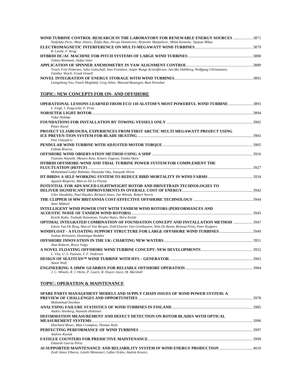| WIND TURBINE CONTROL RESEARCH IN THE LABORATORY FOR RENEWABLE ENERGY SOURCES 3871<br>Nedjeljko Peric, Mate Jelavic, Željko Ban, Hrvoje Domitrovic, Branimir Matijaševic, Milan Kostelac, Stjepan Mikac |  |
|--------------------------------------------------------------------------------------------------------------------------------------------------------------------------------------------------------|--|
|                                                                                                                                                                                                        |  |
| B. Lewke, F. Krug                                                                                                                                                                                      |  |
|                                                                                                                                                                                                        |  |
| Tobias Rösmann, Stefan Soter                                                                                                                                                                           |  |
|                                                                                                                                                                                                        |  |
| Troels Friis Pedersen, Julia Gottschall, Sten Frandsen, Jesper Runge Kristoffersen, Jan-åke Dahlberg, Wolfgang Christiansen,<br>Günther Weich, Frank Ormell                                            |  |
|                                                                                                                                                                                                        |  |
| Liangzhong Yao, Fazeli Meghdad, Greg Asher, Masoud Bazargan, Ram Parashar                                                                                                                              |  |

# **TOPIC: NEW CONCEPTS FOR ON- AND OFFSHORE**

| OPERATIONAL LESSONS LEARNED FROM ECO 110 ALSTOM'S MOST POWERFUL WIND TURBINE3893                                |  |
|-----------------------------------------------------------------------------------------------------------------|--|
| L. Feigl, J. Puigcorbé, P. Prats                                                                                |  |
|                                                                                                                 |  |
| Vidar Holmøy                                                                                                    |  |
|                                                                                                                 |  |
| Petter Karal                                                                                                    |  |
| PROJECT ULJABUOUDA, EXPERIENCES FROM FIRST ARCTIC MULTI MEGAWATT PROJECT USING                                  |  |
|                                                                                                                 |  |
| Pasi Valasjärvi                                                                                                 |  |
|                                                                                                                 |  |
| Fabián Riveros                                                                                                  |  |
|                                                                                                                 |  |
| Tsutomu Hayashi, Masaru Kato, Kotaro Tagawa, Yutaka Hara                                                        |  |
| HYBRID OFFSHORE-WIND AND TIDAL TURBINE POWER SYSTEM FOR COMPLEMENT THE                                          |  |
|                                                                                                                 |  |
| Mohammad Lutfur Rahman, Shunsuke Oka, Yasuyuki Shirai                                                           |  |
|                                                                                                                 |  |
| Agustín Rioperez, Marcos De La Puente                                                                           |  |
| POTENTIAL FOR ADVANCED LIGHTWEIGHT ROTOR AND DRIVETRAIN TECHNOLOGIES TO                                         |  |
|                                                                                                                 |  |
| Giles Hundleby, Paul Hayden, Richard Jones, Jon Wheals, Robert Norris                                           |  |
|                                                                                                                 |  |
| Amir Mikhail                                                                                                    |  |
| INTELLIGENT WIND POWER UNIT WITH TANDEM WIND ROTORS (PERFORMANCES AND                                           |  |
|                                                                                                                 |  |
| Koichi Kubo, Toshiaki Kanemoto, Youhei Hano, Akira Enishi                                                       |  |
| OPTIMAL INTEGRATED COMBINATION OF FOUNDATION CONCEPT AND INSTALLATION METHOD  3947                              |  |
| Edwin Van De Brug, Marcel Van Bergen, Dolf Elsevier Van Griethuysen, Wim De Boom, Reinout Prins, Peter Kuijpers |  |
| WINDFLOAT - A FLOATING SUPPORT STRUCTURE FOR LARGE OFFSHORE WIND TURBINES 3949                                  |  |
| Joshua Weinstein, Dominique Roddier                                                                             |  |
|                                                                                                                 |  |
| Alun Roberts, Bruce Valpy                                                                                       |  |
|                                                                                                                 |  |
| L. Vita, U. S. Paulsen, T. F. Pedersen                                                                          |  |
|                                                                                                                 |  |
| Anton Wolf                                                                                                      |  |
|                                                                                                                 |  |
| J. C. Wheals, R. J. Hicks, P. Guern, R. Dwyer-Joyce, M. Marshall                                                |  |

# **TOPIC: OPERATION & MAINTENANCE**

| SPARE PARTS MANAGEMENT MODELS AND SUPPLY CHAIN ISSUES OF WIND POWER SYSTEM: A  |  |
|--------------------------------------------------------------------------------|--|
|                                                                                |  |
| Muhammad Zeeshan                                                               |  |
|                                                                                |  |
| Anders Stenberg, Hannele Holttinen                                             |  |
| DEFORMATION MEASUREMENT AND DEFECT DETECTION ON ROTOR BLADES WITH OPTICAL      |  |
|                                                                                |  |
| Eberhard Moser, Matt Crompton, Thomas Walz                                     |  |
|                                                                                |  |
| Andrew Kusiak                                                                  |  |
|                                                                                |  |
| Eduardo García Pérez                                                           |  |
| AI SUPPORTED MAINTENANCE AND RELIABILITY SYSTEM IN WIND ENERGY PRODUCTION 4010 |  |
| Zsolt János Viharos, László Monostori, Gábor Erdos, András Kovács              |  |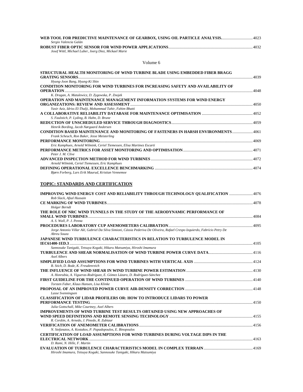| WEB TOOL FOR PREDICTIVE MAINTENANCE OF GEARBOX, USING OIL PARTICLE ANALYSIS4023 |      |
|---------------------------------------------------------------------------------|------|
| Sergio Valencia Galán                                                           |      |
|                                                                                 | 4032 |
| Josef Wittl, Michael Luber, Joerg Diez, Mickael Marie                           |      |

#### Volume 6

| STRUCTURAL HEALTH MONITORING OF WIND TURBINE BLADE USING EMBEDDED FIBER BRAGG                                             |       |
|---------------------------------------------------------------------------------------------------------------------------|-------|
|                                                                                                                           | .4039 |
| Hyung-Joon Bang, Hyung-Ki Shin<br><b>CONDITION MONITORING FOR WIND TURBINES FOR INCREASING SAFETY AND AVAILABILITY OF</b> |       |
|                                                                                                                           | 4048  |
| K. Dragan, A. Matulewicz, D. Zygowska, P. Znojek                                                                          |       |
| OPERATION AND MAINTENANCE MANAGEMENT INFORMATION SYSTEMS FOR WIND ENERGY                                                  |       |
|                                                                                                                           |       |
| Yasir Aziz, Idriss El-Thalji, Mohammad Tahir, Fahim Bhatti                                                                |       |
|                                                                                                                           |       |
| S. Faulstich, P. Lyding, B. Hahn, D. Brune                                                                                |       |
|                                                                                                                           |       |
| Henrik Bording, Jacob Nørgaard Andersen                                                                                   |       |
| CONDITION BASED MAINTENANCE AND MONITORING OF FASTENERS IN HARSH ENVIRONMENTS4061                                         |       |
| Frank Scheuch, Ron Baker, Jesse Meisterling                                                                               |       |
|                                                                                                                           |       |
| Eric Kamphues, Arnold Wilmink, Ceriel Tiemessen, Elisa Martinez Escarti                                                   |       |
|                                                                                                                           |       |
| Peter J. M. Clive                                                                                                         |       |
|                                                                                                                           |       |
| Arnold Wilmink, Ceriel Tiemessen, Eric Kamphues                                                                           |       |
| Bjørn Forberg, Lars Erik Maurud, Kristian Vennemoe                                                                        |       |
|                                                                                                                           |       |
|                                                                                                                           |       |
| TOPIC: STANDARDS AND CERTIFICATION                                                                                        |       |
| <b>IMPROVING WIND ENERGY COST AND RELIABILITY THROUGH TECHNOLOGY QUALIFICATION 4076</b>                                   |       |
| Rob Slack, Afzal Hussain                                                                                                  |       |
|                                                                                                                           |       |
| Holger Berndt                                                                                                             |       |
| THE ROLE OF NRC WIND TUNNELS IN THE STUDY OF THE AERODYNAMIC PERFORMANCE OF                                               |       |
|                                                                                                                           |       |
| A. S. Wall, P. J. Penna                                                                                                   |       |
|                                                                                                                           |       |

| Jorge Antonio Villar Alé, Gabriel Da Silva Simioni, Cássia Pederiva De Oliveira, Rafael Crespo Izquierdo, Fabrício Petry De<br>Abreu Souza |      |
|--------------------------------------------------------------------------------------------------------------------------------------------|------|
| JAPANESE WIND TURBULENCE CHARACTERISTICS IN RELATION TO TURBULENCE MODEL IN                                                                |      |
|                                                                                                                                            |      |
| Sannosuke Tanigaki, Tetsuya Kogaki, Hikaru Matsumiya, Hiroshi Imamura                                                                      |      |
|                                                                                                                                            |      |
| Axel Albers                                                                                                                                |      |
|                                                                                                                                            |      |
| B. Stich, D. Bode, K. Freudenreich                                                                                                         |      |
|                                                                                                                                            |      |
| A. Honrubia, A. Vigueras-Rodríguez, E. Gómez Lázaro, D. Rodríguez-Sánchez                                                                  |      |
|                                                                                                                                            |      |
| Torsten Faber, Klaus Hansen, Lisa Klinke                                                                                                   |      |
|                                                                                                                                            |      |
| Lasse Svenningsen                                                                                                                          |      |
| <b>CLASSIFICATION OF LIDAR PROFILERS OR: HOW TO INTRODUCE LIDARS TO POWER</b>                                                              |      |
|                                                                                                                                            |      |
| Julia Gottschall, Mike Courtney, Axel Albers                                                                                               |      |
| IMPROVEMENTS OF WIND TURBINE TEST RESULTS OBTAINED USING NEW APPROACHES OF                                                                 |      |
|                                                                                                                                            |      |
| R. Cordón, A. Arnedo, J. Pinedo, R. Zubiaur                                                                                                |      |
|                                                                                                                                            |      |
| N. Stefanatos, A. Kostakos, P. Papadopoulos, E. Binopoulos                                                                                 |      |
| <b>CERTIFICATION OF LOAD ASSUMPTIONS FOR WIND TURBINES DURING VOLTAGE DIPS IN THE</b>                                                      |      |
|                                                                                                                                            | 4163 |
| D. Rami, N. Hille, F. Martin                                                                                                               |      |
|                                                                                                                                            |      |

*Hiroshi Imamura, Tetsuya Kogaki, Sannosuke Tanigaki, Hikaru Matsumiya*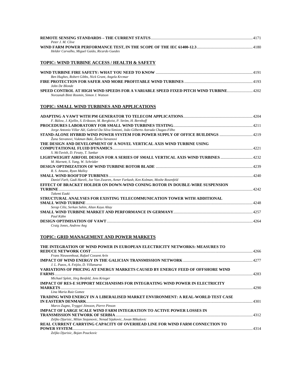|                                               | 4171 |
|-----------------------------------------------|------|
| Peter J. M. Clive                             |      |
|                                               |      |
| Helder Carvalho, Miguel Gaião, Ricardo Guedes |      |

# **TOPIC: WIND TURBINE ACCESS / HEALTH & SAFETY**

| Ben Hughes, Robert Gibbs, Nick Grant, Angela Krcmar                                 |  |
|-------------------------------------------------------------------------------------|--|
|                                                                                     |  |
| John De Blonde                                                                      |  |
| SPEED CONTROL AT HIGH WIND SPEEDS FOR A VARIABLE SPEED FIXED PITCH WIND TURBINE4202 |  |
| Norzanah Binti Rosmin, Simon J. Watson                                              |  |

# **TOPIC: SMALL WIND TURBINES AND APPLICATIONS**

| F. Bülow, J. Kjellin, S. Eriksson, M. Bergkvist, P. Ström, H. Bernhoff                 |      |
|----------------------------------------------------------------------------------------|------|
|                                                                                        |      |
| Jorge Antonio Villar Alé, Gabriel Da Silva Simioni, João Gilberto Astrada Chagas-Filho |      |
|                                                                                        |      |
| Žana Stevanovi, Vukman Baki, Žarko Stevanovi                                           |      |
| THE DESIGN AND DEVELOPMENT OF A NOVEL VERTICAL AXIS WIND TURBINE USING                 |      |
|                                                                                        |      |
| S. McTavish, D. Feszty, T. Sankar                                                      |      |
| LIGHTWEIGHT AIRFOIL DESIGN FOR A SERIES OF SMALL VERTICAL AXIS WIND TURBINES  4232     |      |
| M. Marnett, S. Yang, W. Schröder                                                       |      |
|                                                                                        |      |
| R. S. Amano, Ryan Malloy                                                               |      |
|                                                                                        |      |
| Daniel Farb, Gadi Hareli, Joe Van Zwaren, Avner Farkash, Ken Kolman, Moshe Rosenfeld   |      |
| EFFECT OF BRACKET HOLDER ON DOWN-WIND CONING ROTOR IN DOUBLE-WIRE SUSPENSION           |      |
| 1242                                                                                   |      |
| Takemi Ezaki                                                                           |      |
| STRUCTURAL ANALYSES FOR EXISTING TELECOMMUNICATION TOWER WITH ADDITIONAL               |      |
|                                                                                        | 4248 |
| Serap Ciliz, Serkan Sahin, Altan Kaya Altay                                            |      |
|                                                                                        |      |
| Paul Kühn                                                                              |      |
|                                                                                        | 4264 |
| Craig Jones, Andrew Ang                                                                |      |

# **TOPIC: GRID MANAGEMENT AND POWER MARKETS**

| THE INTEGRATION OF WIND POWER IN EUROPEAN ELECTRICITY NETWORKS: MEASURES TO                                                                        | -4266 |
|----------------------------------------------------------------------------------------------------------------------------------------------------|-------|
| Frans Nieuwenhout, Rafael Cossent Arín                                                                                                             |       |
| J. L. Pazos, A. Feijóo, D. Villanueva                                                                                                              |       |
| VARIATIONS OF PRICING AT ENERGY MARKETS CAUSED BY ENERGY FEED OF OFFSHORE WIND                                                                     |       |
| Michael Splett, Jörg Benfeld, Jens Krieger                                                                                                         |       |
| IMPACT OF RES-E SUPPORT MECHANISMS FOR INTEGRATING WIND POWER IN ELECTRICITY<br><b>MARKETS</b>                                                     | 4290  |
| Lina Maria Ruiz Gomez<br>TRADING WIND ENERGY IN A LIBERALISED MARKET ENVIRONMENT: A REAL-WORLD TEST CASE                                           | 4301  |
| Marco Zugno, Tryggvi Jónsson, Pierre Pinson                                                                                                        |       |
| <b>IMPACT OF LARGE SCALE WIND FARM INTEGRATION TO ACTIVE POWER LOSSES IN</b>                                                                       | 4312  |
| Zeljko Djurisic, Milan Stojanovic, Nenad Sijakovic, Jovan Mikulovic<br>REAL CURRENT CARRYING CAPACITY OF OVERHEAD LINE FOR WIND FARM CONNECTION TO |       |
| <b>POWER SYSTEM.</b>                                                                                                                               | 4314  |
| Zeljko Djurisic, Bojan Pouckovic                                                                                                                   |       |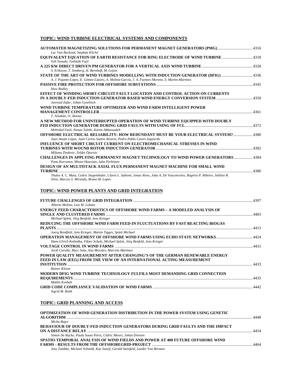# **TOPIC: WIND TURBINE ELECTRICAL SYSTEMS AND COMPONENTS**

| Luc Van Bockstal, Stephan Kliché                                                                                                                                                     |      |
|--------------------------------------------------------------------------------------------------------------------------------------------------------------------------------------|------|
| <b>EQUIVALENT EQUATION OF EARTH RESISTANCE FOR RING ELECTRODE OF WIND TURBINE 4318</b><br>Yoh Yasuda, Toshiaki Fujii                                                                 |      |
| S. Eriksson, T. Semberg, H. Bernhoff, M. Leijon                                                                                                                                      |      |
| STATE OF THE ART OF WIND TURBINES MODELLING WITH INDUCTION GENERATOR (DFIG) 4336<br>A. J. Pujante-López, E. Gómez-Lázaro, A. Molina-García, J. A. Fuentes-Moreno, S. Martín-Martínez |      |
| Huw Radley                                                                                                                                                                           |      |
| EFFECT OF WINDING SHORT-CIRCUIT FAULT LOCATION AND CONTROL ACTION ON CURRENTS<br>Jawwad Zafar, Johan Gyselinck                                                                       |      |
| WIND TURBINE TEMPERATURE OPTIMIZER AND WIND FARM INTELLIGENT POWER<br>T. Arlabán, O. Alonso                                                                                          |      |
| A NEW METHOD FOR UNINTERRUPTED OPERATION OF WIND TURBINE EQUIPPED WITH DOUBLY<br>Mehrdad Fazli, Nemat Talebi, Karim Abbaszadeh                                                       |      |
| OFFSHORE ELECTRICAL RELIABILITY: HOW REDUNDANT MUST BE YOUR ELECTRICAL SYSTEM?4380<br>Juan Amate López, Juan Carlos Santin Alvarez, Pedro Pablo Castro Izquierdo                     |      |
| INFLUENCE OF SHORT CIRCUIT CURRENT ON ELECTROMECHANICAL STRESSES IN WIND<br>Miljana Zindovic, Zeljko Djurisic                                                                        |      |
| <b>CHALLENGES IN APPLYING PERMANENT MAGNET TECHNOLOGY TO WIND POWER GENERATORS 4384</b><br>Panu Kurronen, Minna Haavisto, Juha Pyrhönen                                              |      |
| DESIGN OF AN MULTISTACK AXIAL FLUX PERMANENT MAGNET MACHINE FOR SMALL WIND<br><b>TURBINE</b>                                                                                         | 4386 |
| Thales A. C. Maia, Cedric Siegenthaler, Claret L. Sabioni, Jonas Alves, João A. De Vasconcelos, Rogério P. Ribeiro, Selênio R.<br>Silva, Marcos S. Miranda, Bruno M. Lopes           |      |

# **TOPIC: WIND POWER PLANTS AND GRID INTEGRATION**

| Alberto Molina, Luis M. Lobato                                                    |      |
|-----------------------------------------------------------------------------------|------|
| <b>ENERGY FEED CHARACTERISTICS OF OFFSHORE WIND FARMS - A MODELED ANALYSIS OF</b> |      |
|                                                                                   | 4403 |
| Michael Splett, Jörg Benfeld, Jens Krieger                                        |      |
| REDUCING THE OFFSHORE WIND FARM FEED-IN FLUCTUATIONS BY FAST REACTING BIOGAS      |      |
|                                                                                   | 4413 |
| Joerg Bendfeld, Jens Krieger, Martin Tigges, Splett Michael                       |      |
| Hans-Ulrich Kobialka, Viktor Schulz, Michael Splett, Jörg Benfeld, Jens Krieger   |      |
|                                                                                   | 4431 |
| Jordi Carulla, Marc Sala, Ana Morales, Marcela Martinez                           |      |
| POWER QUALITY MEASUREMENT AFTER CHANGING'S OF THE GERMAN RENEWABLE ENERGY         |      |
| FEED IN LAW (EEG) FROM THE VIEW OF AN INTERNATIONAL ACTING MEASUREMENT            |      |
|                                                                                   | 4433 |
| Rainer Klosse                                                                     |      |
| MODERN DFIG WIND TURBINE TECHNOLOGY FULFILS MOST DEMANDING GRID CONNECTION        |      |
| Mathis Kosbab                                                                     | 4435 |
|                                                                                   |      |
| Sigrid M. Bolik                                                                   |      |

#### **TOPIC: GRID PLANNING AND ACCESS**

| OPTIMIZATION OF WIND GENERATION DISTRIBUTION IN THE POWER SYSTEM USING GENETIC        | 4448                              |
|---------------------------------------------------------------------------------------|-----------------------------------|
| Micha Bajor                                                                           |                                   |
| <b>BEHAVIOUR OF DOUBLY-FED INDUCTION GENERATORS DURING GRID FAULTS AND THE IMPACT</b> |                                   |
|                                                                                       | $\Lambda$ <sub>45</sub> $\Lambda$ |
| Simon De Rijcke, Paula Souto Pérez, Cédric Moors, Johan Driesen                       |                                   |
| SPATIO-TEMPORAL ANALYSIS OF WIND FIELDS AND POWER AT 400 FUTURE OFFSHORE WIND         |                                   |
|                                                                                       | AAGA                              |
| Jens Tambke, Michael Schmidt, Kay Suselj, Gerald Steinfeld, Lueder Von Bremen         |                                   |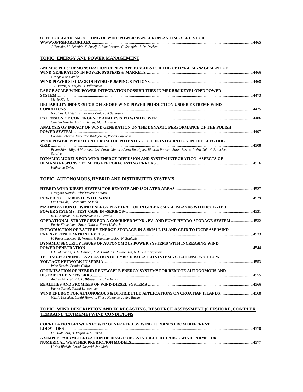| OFFSHOREGRID: SMOOTHING OF WIND POWER: PAN-EUROPEAN TIME SERIES FOR |      |
|---------------------------------------------------------------------|------|
|                                                                     | 4465 |
| I Tambke M Schmidt K Suseli I. Von Bremen G Steinfeld I De Decker   |      |

*J. Tambke, M. Schmidt, K. Suselj, L. Von Bremen, G. Steinfeld, J. De Decker* 

#### **TOPIC: ENERGY AND POWER MANAGEMENT**

| ANEMOS.PLUS: DEMONSTRATION OF NEW APPROACHES FOR THE OPTIMAL MANAGEMENT OF                                                          |      |
|-------------------------------------------------------------------------------------------------------------------------------------|------|
| George Kariniotakis                                                                                                                 | 4466 |
|                                                                                                                                     |      |
| J. L. Pazos, A. Feijóo, D. Villanueva                                                                                               |      |
| <b>LARGE SCALE WIND POWER INTEGRATION POSSIBILITIES IN MEDIUM DEVELOPED POWER</b>                                                   |      |
| Mario Klaric                                                                                                                        |      |
| <b>RELIABILITY INDEXES FOR OFFSHORE WIND POWER PRODUCTION UNDER EXTREME WIND</b>                                                    |      |
|                                                                                                                                     | 4475 |
| Nicolaos A. Cutululis, Lorenzo Zeni, Poul Sørensen                                                                                  |      |
| Carsten Franke, Adrian Timbus, Mats Larsson                                                                                         | 4486 |
| ANALYSIS OF IMPACT OF WIND GENERATION ON THE DYNAMIC PERFORMANCE OF THE POLISH                                                      |      |
| Bogdan Sobczak, Krzysztof Madajewski, Robert Paprocki                                                                               |      |
| WIND POWER IN PORTUGAL FROM THE POTENTIAL TO THE INTEGRATION IN THE ELECTRIC                                                        |      |
| Bruno Silva, Miguel Marques, José Carlos Matos, Álvaro Rodrigues, Ricardo Pereira, Áurea Bastos, Pedro Cabral, Francisco<br>Saraiva |      |
| DYNAMIC MODELS FOR WIND ENERGY DIFFUSION AND SYSTEM INTEGRATION: ASPECTS OF                                                         | 4516 |

#### **TOPIC: AUTONOMOUS, HYBRID AND DISTRIBUTED SYSTEMS**

|                                                                                             | 4527 |
|---------------------------------------------------------------------------------------------|------|
| Grzegorz Iwanski, Włodzimierz Koczara                                                       |      |
|                                                                                             |      |
| Luc Dewilde, Pierre Antoine Mali                                                            |      |
| <b>MAXIMIZATION OF WIND ENERGY PENETRATION IN GREEK SMALL ISLANDS WITH ISOLATED</b>         |      |
|                                                                                             | 4531 |
| K. D. Konstas, Y. G. Perivolaris, G. Caralis                                                |      |
| <b>OPERATIONAL STRATEGIES FOR A COMBINED WIND-, PV- AND PUMP HYDRO-STORAGE-SYSTEM  4532</b> |      |
| Patric Kleineidam, Burcu Özdirik, Frank Umbach                                              |      |
| INTRODUCTION OF BATTERY ENERGY STORAGE IN A SMALL ISLAND GRID TO INCREASE WIND              |      |
|                                                                                             |      |
| K. Papastamoulos, E. Vrettos, S. Papathanassiou, N. Boulaxis                                |      |
| DYNAMIC SECURITY ISSUES OF AUTONOMOUS POWER SYSTEMS WITH INCREASING WIND                    |      |
|                                                                                             |      |
| I. D. Margaris, A. D. Hansen, N. A. Cutululis, P. Sorensen, N. D. Hatziargyriou             |      |
| TECHNO-ECONOMIC EVALUATION OF HYBRID ISOLATED SYSTEM VS. EXTENSION OF LOW                   |      |
|                                                                                             |      |
| Ivica Nencic, Branko Calija                                                                 |      |
| <b>OPTIMIZATION OF HYBRID RENEWABLE ENERGY SYSTEMS FOR REMOTE AUTONOMOUS AND</b>            |      |
|                                                                                             | 4555 |
| Andrea G. Kraj, Eric L. Bibeau, Everaldo Feitosa                                            |      |
|                                                                                             |      |
| Pierre Pesnel, Pascal Larsonneur                                                            |      |
| WIND ENERGY FOR AUTONOMOUS & DISTRIBUTED APPLICATIONS ON CROATIAN ISLANDS 4568              |      |
| Nikola Karadza, László Horváth, Sinisa Knezevic, Andro Bacan                                |      |
|                                                                                             |      |

#### **TOPIC: WIND DESCRIPTION AND FORECASTING, RESOURCE ASSESSMENT (OFFSHORE, COMPLEX TERRAIN), (EXTREME) WIND CONDITIONS**

| <b>CORRELATION BETWEEN POWER GENERATED BY WIND TURBINES FROM DIFFERENT</b> |      |
|----------------------------------------------------------------------------|------|
|                                                                            | 4570 |
| D. Villanueva, A. Feijóo, J. L. Pazos                                      |      |
| A SIMPLE PARAMETERIZATION OF DRAG FORCES INDUCED BY LARGE WIND FARMS FOR   |      |
|                                                                            |      |
| Ulrich Blahak, Bernd Goretzki, Jon Meis                                    |      |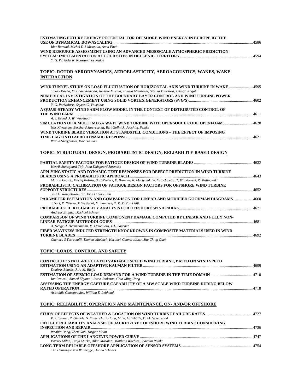| ESTIMATING FUTURE ENERGY POTENTIAL FOR OFFSHORE WIND ENERGY IN EUROPE BY THE                                                                                                    |  |
|---------------------------------------------------------------------------------------------------------------------------------------------------------------------------------|--|
| Idar Barstad, Michel D-S Mesquita, Anna Fitch                                                                                                                                   |  |
| WIND RESOURCE ASSESSMENT USING AN ADVANCED MESOSCALE ATMOSPHERIC PREDICTION                                                                                                     |  |
|                                                                                                                                                                                 |  |
| Y. G. Perivolaris, Konstantinos Rados                                                                                                                                           |  |
| <u>TOPIC: ROTOR AERODYNAMICS, AEROELASTICITY, AEROACOUSTICS, WAKES, WAKE</u>                                                                                                    |  |
| <b>INTERACTION</b>                                                                                                                                                              |  |
|                                                                                                                                                                                 |  |
| WIND TUNNEL STUDY ON LOAD FLUCTUATION OF HORIZONTAL AXIS WIND TURBINE IN WAKE 4595                                                                                              |  |
| Takao Maeda, Yasunari Kamada, Junsuke Murata, Takuya Mizokoshi, Sayaka Yonekura, Tetsuya Kogaki<br>NUMERICAL INVESTIGATION OF THE BOUNDARY LAYER CONTROL AND WIND TURBINE POWER |  |
|                                                                                                                                                                                 |  |
| Y. G. Perivolaris, Spyros G. Voutsinas                                                                                                                                          |  |
| A QUASI-STEADY WIND FARM FLOW MODEL IN THE CONTEXT OF DISTRIBUTED CONTROL OF                                                                                                    |  |
| A. J. Brand, J. W. Wagenaar                                                                                                                                                     |  |
| SIMULATION OF A MULTI MEGA WATT WIND TURBINE WITH OPENSOUCE CODE OPENFOAM  4620                                                                                                 |  |
| Nils Kirrkamm, Bernhard Stoevesandt, Bert Gollnick, Joachim. Peinke                                                                                                             |  |
| WIND TURBINE BLADE VIBRATION AT STANDSTILL CONDITIONS - THE EFFECT OF IMPOSING                                                                                                  |  |
| Witold Skrzypinski, Mac Gaunaa                                                                                                                                                  |  |
|                                                                                                                                                                                 |  |
| TOPIC: STRUCTURAL DESIGN, PROBABILISTIC DESIGN, RELIABILITY BASED DESIGN                                                                                                        |  |
|                                                                                                                                                                                 |  |
| Henrik Stensgaard Toft, John Dalsgaard Sørensen                                                                                                                                 |  |
| APPLYING STATIC AND DYNAMIC TEST RESPONSES FOR DEFECT PREDICTION IN WIND TURBINE                                                                                                |  |
| Marcin Luczak, Maciej Kahsin, Bart Peeters, K. Branner, K. Martyniuk, W. Ostachowicz, T. Wandowski, P. Malinowski                                                               |  |
| PROBABILISTIC CALIBRATION OF FATIGUE DESIGN FACTORS FOR OFFSHORE WIND TURBINE                                                                                                   |  |
| José G. Rangel-Ramírez, John D. Sørensen                                                                                                                                        |  |
| PARAMETER ESTIMATION AND COMPARISON FOR LINEAR AND MODIFIED GOODMAN DIAGRAMS4660<br>J. Sari, R. Nijssen, T. Westphal, E. Stammes, D. R. V. Van Delft                            |  |
|                                                                                                                                                                                 |  |
| Andreas Ettinger, Michael Schwan<br><b>COMPARISON OF WIND TURBINE COMPONENT DAMAGE COMPUTED BY LINEAR AND FULLY NON-</b>                                                        |  |
| A. Heege, J. Hemmelmann, M. Omiciuolo, J. L. Sanchez                                                                                                                            |  |
| FIBER WAVINESS INDUCED STRENGTH KNOCKDOWNS IN COMPOSITE MATERIALS USED IN WIND                                                                                                  |  |
|                                                                                                                                                                                 |  |
| Chandra S Yerramalli, Thomas Miebach, Karthick Chandraseker, Shu Ching Ouek                                                                                                     |  |
| <b>TOPIC: LOADS, CONTROL AND SAFETY</b>                                                                                                                                         |  |
| CONTROL OF STALL-REGULATED VARIABLE SPEED WIND TURBINE, BASED ON WIND SPEED                                                                                                     |  |
|                                                                                                                                                                                 |  |
| Dimitris Bourlis, J. A. M. Bleijs                                                                                                                                               |  |
| Ian Prowell, Ahmed Elgamal, Jason Jonkman, Chia-Ming Uang                                                                                                                       |  |
| ASSESSING THE ENERGY CAPTURE CAPABILITY OF A MW SCALE WIND TURBINE DURING BELOW                                                                                                 |  |
| Aristeidis Chatzopoulos, William E. Leithead                                                                                                                                    |  |
|                                                                                                                                                                                 |  |
| TOPIC: RELIABILITY, OPERATION AND MAINTENANCE, ON-AND/OR OFFSHORE                                                                                                               |  |
|                                                                                                                                                                                 |  |
| P. J. Tavner, R. Gindele, S. Faulstich, B. Hahn, M. W. G. Whittle, D. M. Greenwood                                                                                              |  |
| <b>FATIGUE RELIABILITY ANALYSIS OF JACKET-TYPE OFFSHORE WIND TURBINE CONSIDERING</b>                                                                                            |  |
| Wenbin Dong, Zhen Gao, Torgeir Moan                                                                                                                                             |  |
|                                                                                                                                                                                 |  |
|                                                                                                                                                                                 |  |
| Patrick Milan, Tanja Mücke, Allan Moralez, Matthias Wächter, Joachim Peinke                                                                                                     |  |